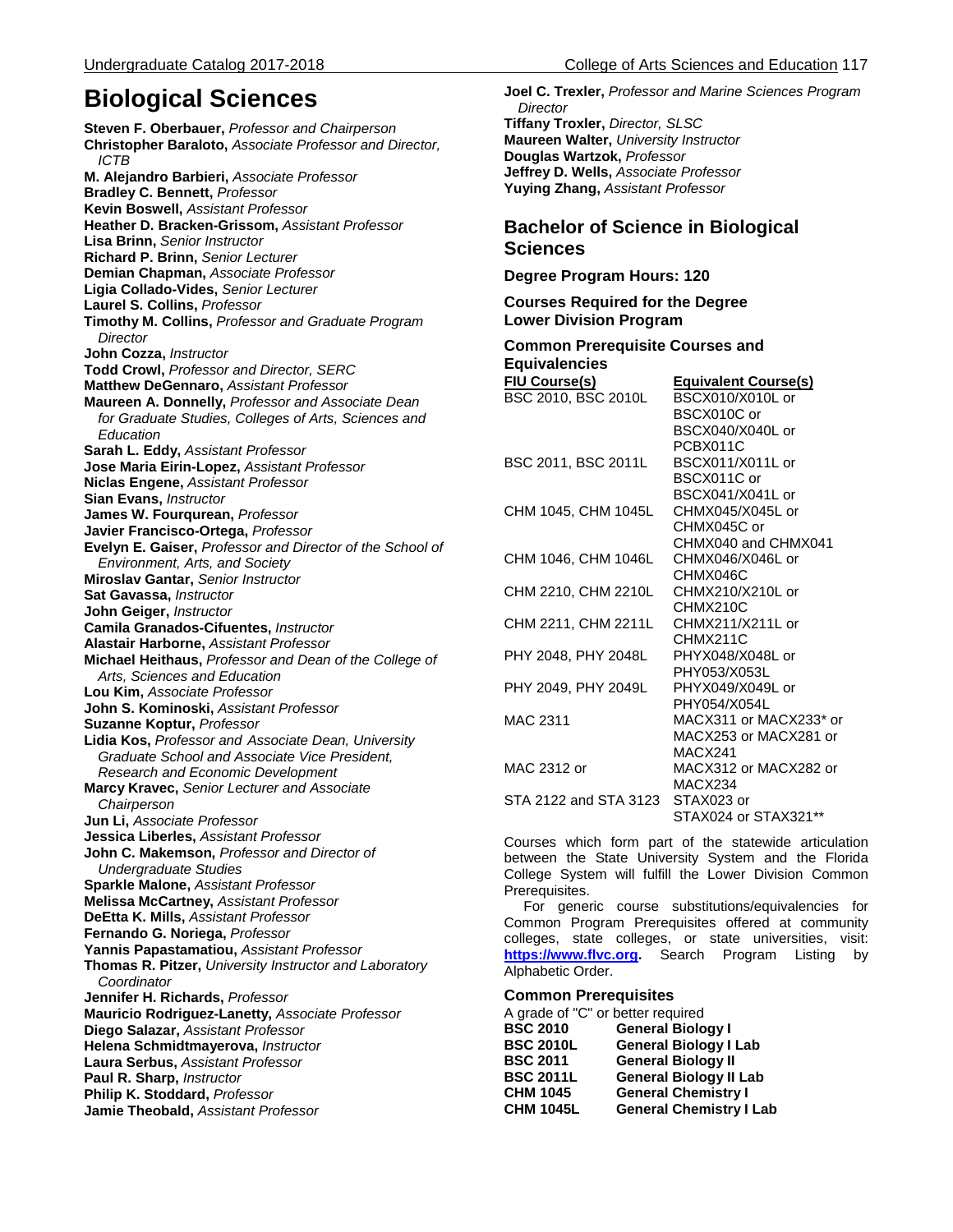# **Biological Sciences**

**Steven F. Oberbauer,** *Professor and Chairperson* **Christopher Baraloto,** *Associate Professor and Director, ICTB* **M. Alejandro Barbieri,** *Associate Professor* **Bradley C. Bennett,** *Professor* **Kevin Boswell,** *Assistant Professor* **Heather D. Bracken-Grissom,** *Assistant Professor* **Lisa Brinn,** *Senior Instructor* **Richard P. Brinn,** *Senior Lecturer* **Demian Chapman,** *Associate Professor* **Ligia Collado-Vides,** *Senior Lecturer* **Laurel S. Collins,** *Professor*  **Timothy M. Collins,** *Professor and Graduate Program Director* **John Cozza,** *Instructor* **Todd Crowl,** *Professor and Director, SERC* **Matthew DeGennaro,** *Assistant Professor* **Maureen A. Donnelly,** *Professor and Associate Dean for Graduate Studies, Colleges of Arts, Sciences and Education* **Sarah L. Eddy,** *Assistant Professor* **Jose Maria Eirin-Lopez,** *Assistant Professor* **Niclas Engene,** *Assistant Professor* **Sian Evans,** *Instructor* **James W. Fourqurean,** *Professor*  **Javier Francisco-Ortega,** *Professor*  **Evelyn E. Gaiser,** *Professor and Director of the School of Environment, Arts, and Society* **Miroslav Gantar,** *Senior Instructor* **Sat Gavassa,** *Instructor* **John Geiger,** *Instructor* **Camila Granados-Cifuentes,** *Instructor* **Alastair Harborne,** *Assistant Professor* **Michael Heithaus,** *Professor and Dean of the College of Arts, Sciences and Education* **Lou Kim,** *Associate Professor*  **John S. Kominoski,** *Assistant Professor* **Suzanne Koptur,** *Professor*  **Lidia Kos,** *Professor and Associate Dean, University Graduate School and Associate Vice President, Research and Economic Development* **Marcy Kravec,** *Senior Lecturer and Associate Chairperson* **Jun Li,** *Associate Professor* **Jessica Liberles,** *Assistant Professor* **John C. Makemson,** *Professor and Director of Undergraduate Studies*  **Sparkle Malone,** *Assistant Professor* **Melissa McCartney,** *Assistant Professor* **DeEtta K. Mills,** *Assistant Professor* **Fernando G. Noriega,** *Professor*  **Yannis Papastamatiou,** *Assistant Professor* **Thomas R. Pitzer,** *University Instructor and Laboratory Coordinator*  **Jennifer H. Richards,** *Professor*  **Mauricio Rodriguez-Lanetty,** *Associate Professor* **Diego Salazar,** *Assistant Professor* **Helena Schmidtmayerova,** *Instructor* **Laura Serbus,** *Assistant Professor* **Paul R. Sharp,** *Instructor* **Philip K. Stoddard,** *Professor* **Jamie Theobald,** *Assistant Professor*

**Joel C. Trexler,** *Professor and Marine Sciences Program Director* **Tiffany Troxler,** *Director, SLSC* **Maureen Walter,** *University Instructor*  **Douglas Wartzok,** *Professor* **Jeffrey D. Wells,** *Associate Professor* **Yuying Zhang,** *Assistant Professor*

# **Bachelor of Science in Biological Sciences**

**Degree Program Hours: 120**

**Courses Required for the Degree Lower Division Program**

| <b>Common Prerequisite Courses and</b> |                             |
|----------------------------------------|-----------------------------|
| <b>Equivalencies</b>                   |                             |
| <b>FIU Course(s)</b>                   | <b>Equivalent Course(s)</b> |
| BSC 2010, BSC 2010L                    | BSCX010/X010L or            |
|                                        | BSCX010C or                 |
|                                        | BSCX040/X040L or            |
|                                        | PCBX011C                    |
| BSC 2011, BSC 2011L                    | BSCX011/X011L or            |
|                                        | BSCX011C or                 |
|                                        | BSCX041/X041L or            |
| CHM 1045, CHM 1045L                    | CHMX045/X045L or            |
|                                        | CHMX045C or                 |
|                                        | CHMX040 and CHMX041         |
| CHM 1046, CHM 1046L                    | CHMX046/X046L or            |
|                                        | CHMX046C                    |
| CHM 2210, CHM 2210L                    | CHMX210/X210L or            |
|                                        | CHMX210C                    |
| CHM 2211, CHM 2211L                    | CHMX211/X211L or            |
|                                        | CHMX211C                    |
| PHY 2048, PHY 2048L                    | PHYX048/X048L or            |
|                                        | PHY053/X053L                |
| PHY 2049, PHY 2049L                    | PHYX049/X049L or            |
|                                        | PHY054/X054L                |
| MAC 2311                               | MACX311 or MACX233* or      |
|                                        | MACX253 or MACX281 or       |
|                                        | MACX241                     |
| MAC 2312 or                            | MACX312 or MACX282 or       |
|                                        | MACX234                     |
| STA 2122 and STA 3123                  | STAX023 or                  |
|                                        | STAX024 or STAX321**        |

Courses which form part of the statewide articulation between the State University System and the Florida College System will fulfill the Lower Division Common Prerequisites.

 For generic course substitutions/equivalencies for Common Program Prerequisites offered at community colleges, state colleges, or state universities, visit: **[https://www.flvc.org.](https://dlss.flvc.org/admin-tools/common-prerequisites-manuals/2016-2017-manual)** Search Program Listing by Alphabetic Order.

#### **Common Prerequisites**

A grade of "C" or better required<br>**BSC 2010** General Biolo **BSC 2010 General Biology I BSC 2010L General Biology I Lab BSC 2011 General Biology II BSC 2011L General Biology II Lab CHM 1045 General Chemistry I General Chemistry I Lab**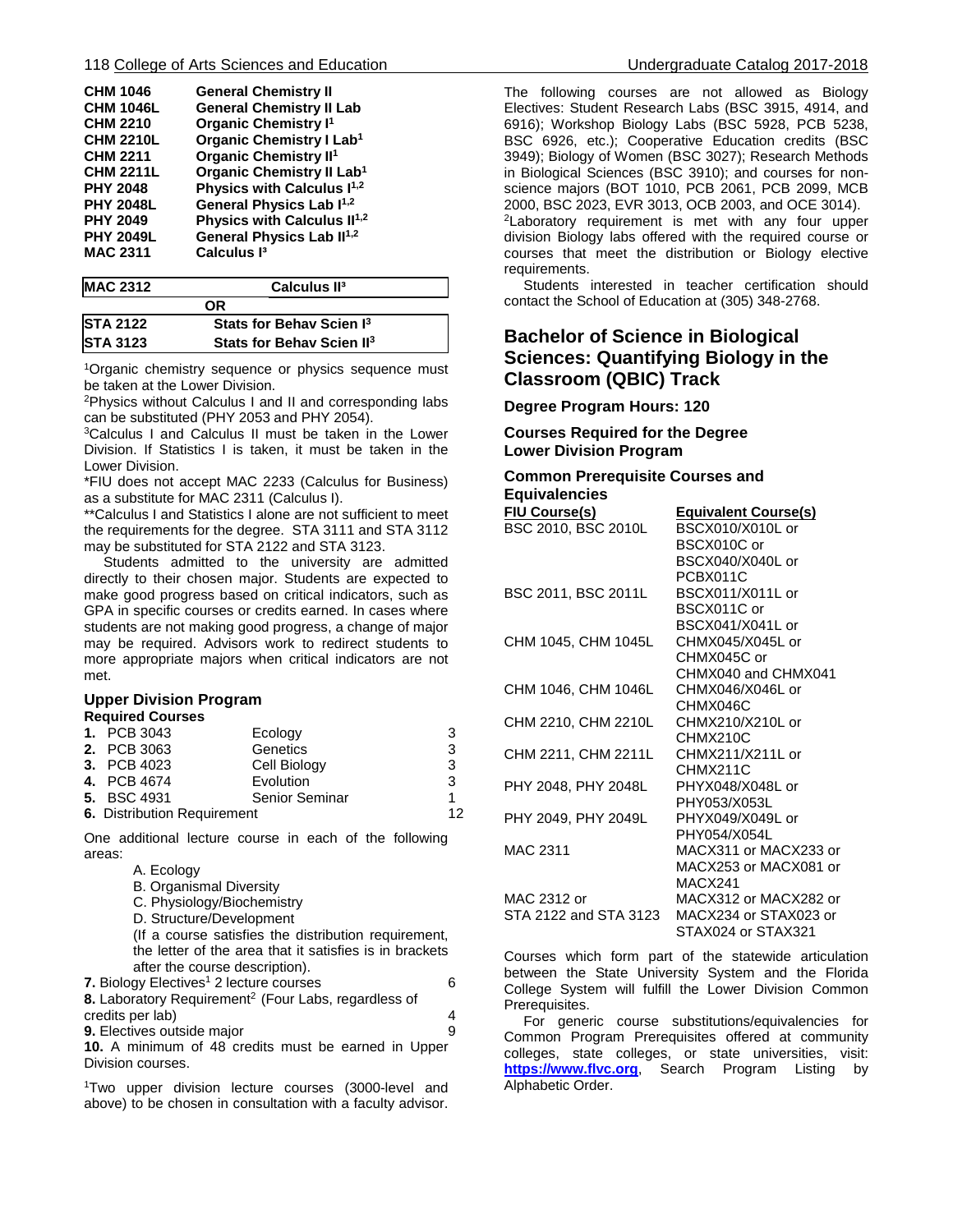| <b>CHM 1046</b><br><b>CHM 1046L</b><br><b>CHM 2210</b><br><b>CHM 2210L</b><br><b>CHM 2211</b><br><b>CHM 2211L</b><br><b>PHY 2048</b><br><b>PHY 2048L</b><br><b>PHY 2049</b><br><b>PHY 2049L</b> | <b>General Chemistry II</b><br><b>General Chemistry II Lab</b><br><b>Organic Chemistry I<sup>1</sup></b><br><b>Organic Chemistry I Lab1</b><br><b>Organic Chemistry II<sup>1</sup></b><br>Organic Chemistry II Lab <sup>1</sup><br>Physics with Calculus I <sup>1,2</sup><br>General Physics Lab I <sup>1,2</sup><br>Physics with Calculus II <sup>1,2</sup><br>General Physics Lab II <sup>1,2</sup> |
|-------------------------------------------------------------------------------------------------------------------------------------------------------------------------------------------------|-------------------------------------------------------------------------------------------------------------------------------------------------------------------------------------------------------------------------------------------------------------------------------------------------------------------------------------------------------------------------------------------------------|
| <b>MAC 2311</b>                                                                                                                                                                                 | Calculus <sup>13</sup>                                                                                                                                                                                                                                                                                                                                                                                |
|                                                                                                                                                                                                 |                                                                                                                                                                                                                                                                                                                                                                                                       |

| <b>MAC 2312</b> | Calculus II <sup>3</sup>              |  |
|-----------------|---------------------------------------|--|
|                 | ΩR                                    |  |
| <b>STA 2122</b> | Stats for Behav Scien I <sup>3</sup>  |  |
| <b>STA 3123</b> | Stats for Behav Scien II <sup>3</sup> |  |

1Organic chemistry sequence or physics sequence must be taken at the Lower Division.

2Physics without Calculus I and II and corresponding labs can be substituted (PHY 2053 and PHY 2054).

3Calculus I and Calculus II must be taken in the Lower Division. If Statistics I is taken, it must be taken in the Lower Division.

\*FIU does not accept MAC 2233 (Calculus for Business) as a substitute for MAC 2311 (Calculus I).

\*\*Calculus I and Statistics I alone are not sufficient to meet the requirements for the degree. STA 3111 and STA 3112 may be substituted for STA 2122 and STA 3123.

 Students admitted to the university are admitted directly to their chosen major. Students are expected to make good progress based on critical indicators, such as GPA in specific courses or credits earned. In cases where students are not making good progress, a change of major may be required. Advisors work to redirect students to more appropriate majors when critical indicators are not met.

#### **Upper Division Program Required Courses**

| 110981108 0081000                  |                       |    |
|------------------------------------|-----------------------|----|
| <b>1. PCB 3043</b>                 | Ecology               | 3  |
| <b>2. PCB 3063</b>                 | Genetics              | 3  |
| <b>3. PCB 4023</b>                 | Cell Biology          | 3  |
| 4. PCB 4674                        | Evolution             | 3  |
| <b>5. BSC 4931</b>                 | <b>Senior Seminar</b> | 1  |
| <b>6.</b> Distribution Requirement |                       | 12 |
|                                    |                       |    |

One additional lecture course in each of the following areas:

A. Ecology

B. Organismal Diversity

C. Physiology/Biochemistry

D. Structure/Development

(If a course satisfies the distribution requirement, the letter of the area that it satisfies is in brackets after the course description).

**7.** Biology Electives<sup>1</sup> 2 lecture courses 6 8. Laboratory Requirement<sup>2</sup> (Four Labs, regardless of

credits per lab) 4 **9.** Electives outside major **9. 19. 9. 9. 9. 9** 

**10.** A minimum of 48 credits must be earned in Upper Division courses.

<sup>1</sup>Two upper division lecture courses (3000-level and above) to be chosen in consultation with a faculty advisor.

The following courses are not allowed as Biology Electives: Student Research Labs (BSC 3915, 4914, and 6916); Workshop Biology Labs (BSC 5928, PCB 5238, BSC 6926, etc.); Cooperative Education credits (BSC 3949); Biology of Women (BSC 3027); Research Methods in Biological Sciences (BSC 3910); and courses for nonscience majors (BOT 1010, PCB 2061, PCB 2099, MCB 2000, BSC 2023, EVR 3013, OCB 2003, and OCE 3014). <sup>2</sup>Laboratory requirement is met with any four upper division Biology labs offered with the required course or courses that meet the distribution or Biology elective

requirements. Students interested in teacher certification should contact the School of Education at (305) 348-2768.

# **Bachelor of Science in Biological Sciences: Quantifying Biology in the Classroom (QBIC) Track**

**Degree Program Hours: 120**

**Courses Required for the Degree Lower Division Program**

### **Common Prerequisite Courses and Equivalencies**

| <b>FIU Course(s)</b>  | <b>Equivalent Course(s)</b> |
|-----------------------|-----------------------------|
| BSC 2010, BSC 2010L   | BSCX010/X010L or            |
|                       | BSCX010C or                 |
|                       | BSCX040/X040L or            |
|                       | PCBX011C                    |
| BSC 2011, BSC 2011L   | BSCX011/X011L or            |
|                       | BSCX011C or                 |
|                       | BSCX041/X041L or            |
| CHM 1045, CHM 1045L   | CHMX045/X045L or            |
|                       | CHMX045C or                 |
|                       | CHMX040 and CHMX041         |
| CHM 1046, CHM 1046L   | CHMX046/X046L or            |
|                       | CHMX046C                    |
| CHM 2210, CHM 2210L   | CHMX210/X210L or            |
|                       | CHMX210C                    |
| CHM 2211, CHM 2211L   | CHMX211/X211L or            |
|                       | CHMX211C                    |
| PHY 2048, PHY 2048L   | PHYX048/X048L or            |
|                       | PHY053/X053L                |
| PHY 2049, PHY 2049L   | PHYX049/X049L or            |
|                       | PHY054/X054L                |
| <b>MAC 2311</b>       | MACX311 or MACX233 or       |
|                       | MACX253 or MACX081 or       |
|                       | MACX241                     |
| MAC 2312 or           | MACX312 or MACX282 or       |
| STA 2122 and STA 3123 | MACX234 or STAX023 or       |
|                       | STAX024 or STAX321          |

Courses which form part of the statewide articulation between the State University System and the Florida College System will fulfill the Lower Division Common Prerequisites.

 For generic course substitutions/equivalencies for Common Program Prerequisites offered at community colleges, state colleges, or state universities, visit: **[https://www.flvc.org](https://dlss.flvc.org/admin-tools/common-prerequisites-manuals/2016-2017-manual)**, Search Program Listing by Alphabetic Order.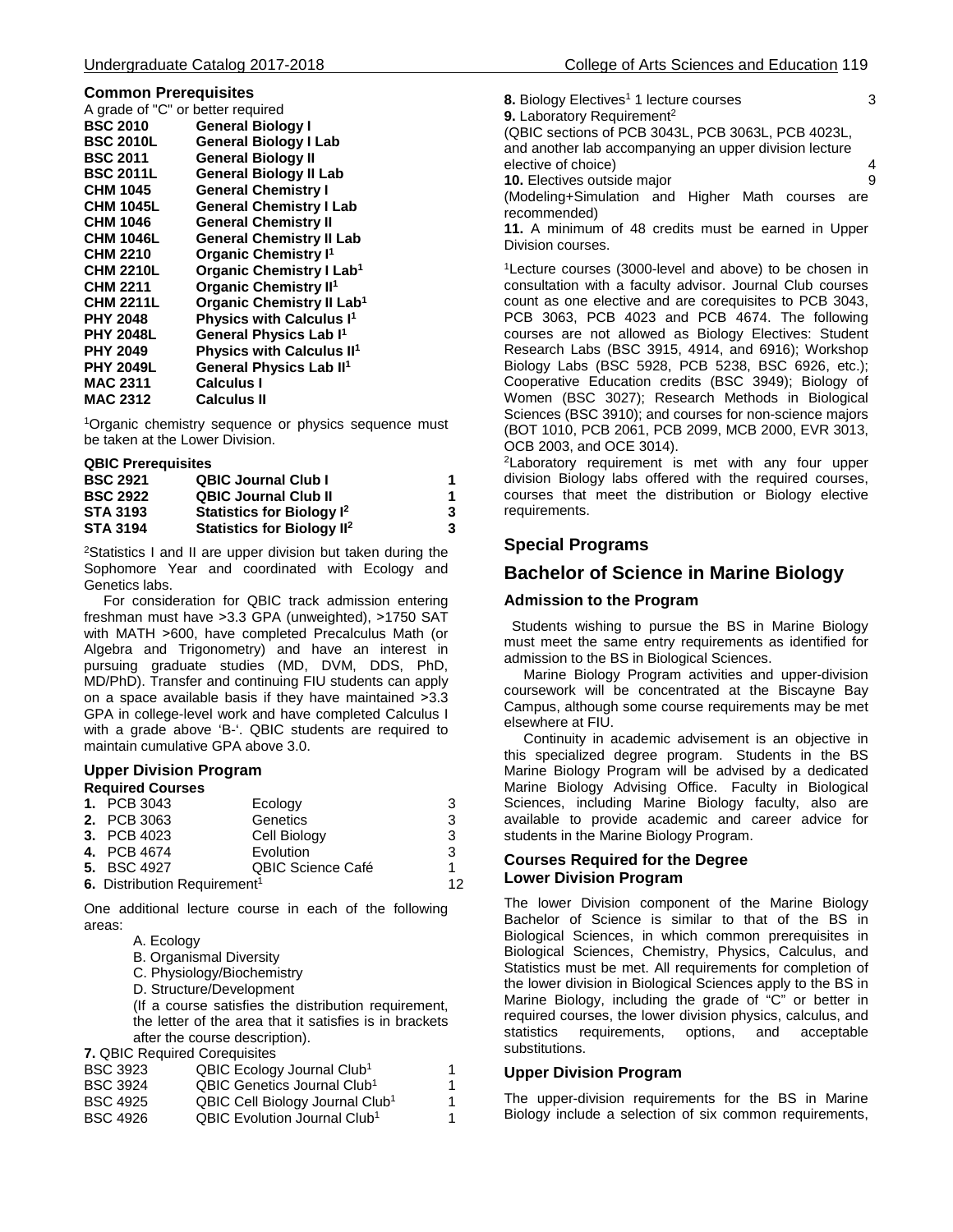#### **Common Prerequisites**

| A grade of "C" or better required           |
|---------------------------------------------|
| <b>General Biology I</b>                    |
| <b>General Biology I Lab</b>                |
| <b>General Biology II</b>                   |
| <b>General Biology II Lab</b>               |
| <b>General Chemistry I</b>                  |
| <b>General Chemistry I Lab</b>              |
| <b>General Chemistry II</b>                 |
| <b>General Chemistry II Lab</b>             |
| <b>Organic Chemistry I<sup>1</sup></b>      |
| <b>Organic Chemistry I Lab1</b>             |
| <b>Organic Chemistry II<sup>1</sup></b>     |
| Organic Chemistry II Lab <sup>1</sup>       |
| <b>Physics with Calculus I<sup>1</sup></b>  |
| General Physics Lab I <sup>1</sup>          |
| <b>Physics with Calculus II<sup>1</sup></b> |
| General Physics Lab II <sup>1</sup>         |
| Calculus I                                  |
| Calculus II                                 |
|                                             |

<sup>1</sup>Organic chemistry sequence or physics sequence must be taken at the Lower Division.

| <b>QBIC Prerequisites</b> |        |  |
|---------------------------|--------|--|
| -------                   | ---- - |  |

| <b>QBIC Journal Club I</b>             |    |
|----------------------------------------|----|
| <b>QBIC Journal Club II</b>            | 1. |
| Statistics for Biology I <sup>2</sup>  | 3  |
| Statistics for Biology II <sup>2</sup> | 3  |
|                                        |    |

2Statistics I and II are upper division but taken during the Sophomore Year and coordinated with Ecology and Genetics labs.

 For consideration for QBIC track admission entering freshman must have > 3.3 GPA (unweighted), > 1750 SAT with MATH >600, have completed Precalculus Math (or Algebra and Trigonometry) and have an interest in pursuing graduate studies (MD, DVM, DDS, PhD, MD/PhD). Transfer and continuing FIU students can apply on a space available basis if they have maintained ˃3.3 GPA in college-level work and have completed Calculus I with a grade above 'B-'. QBIC students are required to maintain cumulative GPA above 3.0.

# **Upper Division Program**

| <b>Required Courses</b>                  |                          |    |
|------------------------------------------|--------------------------|----|
| <b>1. PCB 3043</b>                       | Ecology                  | 3  |
| <b>2. PCB 3063</b>                       | Genetics                 | 3  |
| <b>3. PCB 4023</b>                       | Cell Biology             | 3  |
| 4. PCB 4674                              | Evolution                | 3  |
| <b>5. BSC 4927</b>                       | <b>QBIC Science Café</b> |    |
| 6. Distribution Requirement <sup>1</sup> |                          | 12 |
|                                          |                          |    |

One additional lecture course in each of the following areas:

- A. Ecology
- B. Organismal Diversity
- C. Physiology/Biochemistry
- D. Structure/Development

(If a course satisfies the distribution requirement, the letter of the area that it satisfies is in brackets after the course description).

**7.** QBIC Required Corequisites

| QBIC Ecology Journal Club <sup>1</sup>      | 1 |
|---------------------------------------------|---|
| QBIC Genetics Journal Club <sup>1</sup>     | 1 |
| QBIC Cell Biology Journal Club <sup>1</sup> | 1 |
| QBIC Evolution Journal Club <sup>1</sup>    | 1 |
|                                             |   |

**8.** Biology Electives<sup>1</sup> 1 lecture courses 3 **9.** Laboratory Requirement<sup>2</sup> (QBIC sections of PCB 3043L, PCB 3063L, PCB 4023L, and another lab accompanying an upper division lecture elective of choice) 4<br> **10.** Electives outside major 4 **10.** Electives outside major (Modeling+Simulation and Higher Math courses are recommended)

**11.** A minimum of 48 credits must be earned in Upper Division courses.

<sup>1</sup>Lecture courses (3000-level and above) to be chosen in consultation with a faculty advisor. Journal Club courses count as one elective and are corequisites to PCB 3043, PCB 3063, PCB 4023 and PCB 4674. The following courses are not allowed as Biology Electives: Student Research Labs (BSC 3915, 4914, and 6916); Workshop Biology Labs (BSC 5928, PCB 5238, BSC 6926, etc.); Cooperative Education credits (BSC 3949); Biology of Women (BSC 3027); Research Methods in Biological Sciences (BSC 3910); and courses for non-science majors (BOT 1010, PCB 2061, PCB 2099, MCB 2000, EVR 3013, OCB 2003, and OCE 3014).

<sup>2</sup>Laboratory requirement is met with any four upper division Biology labs offered with the required courses, courses that meet the distribution or Biology elective requirements.

# **Special Programs**

# **Bachelor of Science in Marine Biology**

#### **Admission to the Program**

 Students wishing to pursue the BS in Marine Biology must meet the same entry requirements as identified for admission to the BS in Biological Sciences.

 Marine Biology Program activities and upper-division coursework will be concentrated at the Biscayne Bay Campus, although some course requirements may be met elsewhere at FIU.

 Continuity in academic advisement is an objective in this specialized degree program. Students in the BS Marine Biology Program will be advised by a dedicated Marine Biology Advising Office. Faculty in Biological Sciences, including Marine Biology faculty, also are available to provide academic and career advice for students in the Marine Biology Program.

#### **Courses Required for the Degree Lower Division Program**

The lower Division component of the Marine Biology Bachelor of Science is similar to that of the BS in Biological Sciences, in which common prerequisites in Biological Sciences, Chemistry, Physics, Calculus, and Statistics must be met. All requirements for completion of the lower division in Biological Sciences apply to the BS in Marine Biology, including the grade of "C" or better in required courses, the lower division physics, calculus, and statistics requirements, options, and acceptable substitutions.

#### **Upper Division Program**

The upper-division requirements for the BS in Marine Biology include a selection of six common requirements,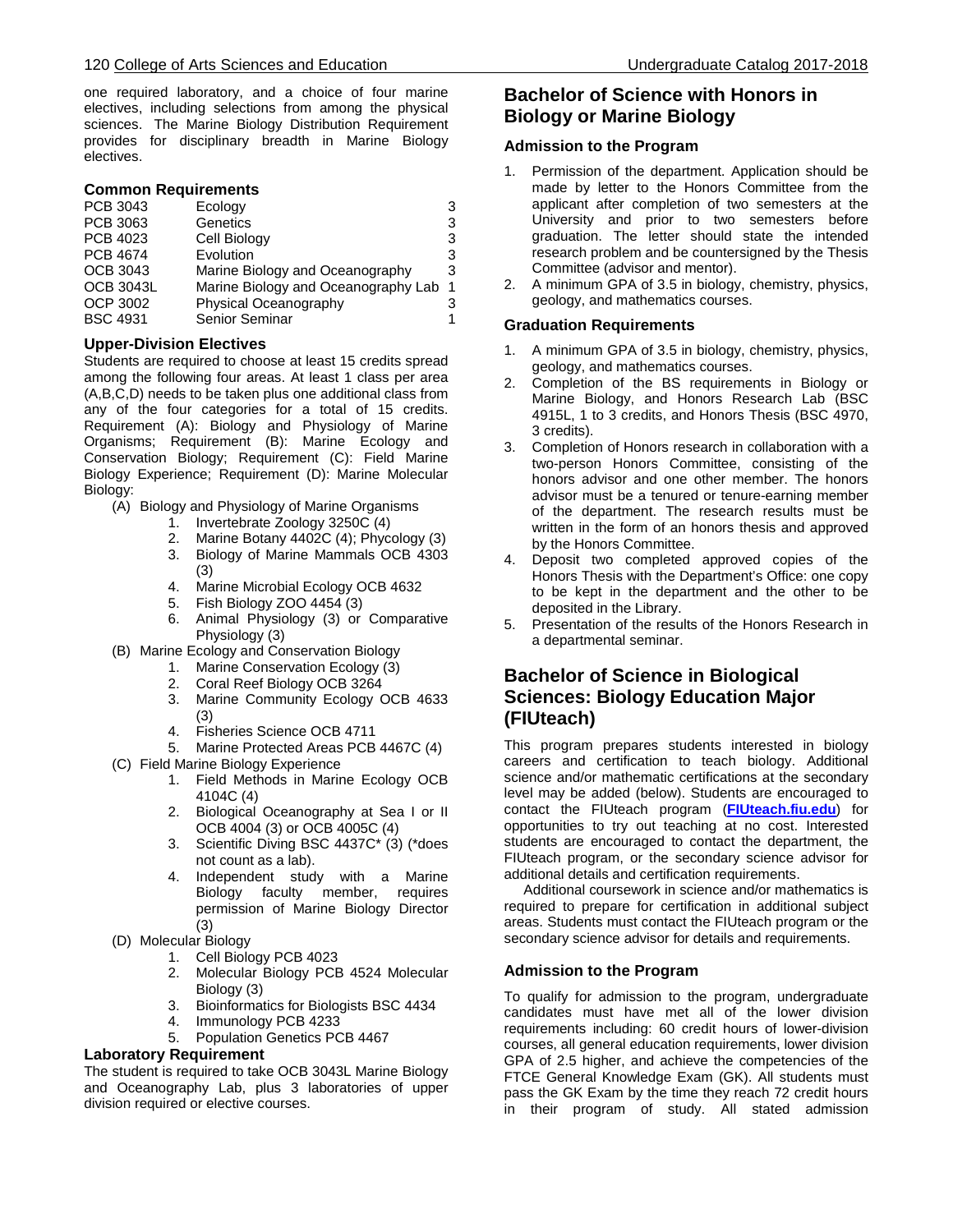one required laboratory, and a choice of four marine electives, including selections from among the physical sciences. The Marine Biology Distribution Requirement provides for disciplinary breadth in Marine Biology electives.

#### **Common Requirements**

| PCB 3043         | Ecology                             | 3              |
|------------------|-------------------------------------|----------------|
| PCB 3063         | Genetics                            | 3              |
| PCB 4023         | Cell Biology                        | 3              |
| <b>PCB 4674</b>  | Evolution                           | 3              |
| <b>OCB 3043</b>  | Marine Biology and Oceanography     | 3              |
| <b>OCB 3043L</b> | Marine Biology and Oceanography Lab | $\overline{1}$ |
| <b>OCP 3002</b>  | Physical Oceanography               | 3              |
| <b>BSC 4931</b>  | Senior Seminar                      | 1              |

#### **Upper-Division Electives**

Students are required to choose at least 15 credits spread among the following four areas. At least 1 class per area (A,B,C,D) needs to be taken plus one additional class from any of the four categories for a total of 15 credits. Requirement (A): Biology and Physiology of Marine Organisms; Requirement (B): Marine Ecology and Conservation Biology; Requirement (C): Field Marine Biology Experience; Requirement (D): Marine Molecular Biology:

- (A) Biology and Physiology of Marine Organisms
	- 1. Invertebrate Zoology 3250C (4)
	- 2. Marine Botany 4402C (4); Phycology (3) 3. Biology of Marine Mammals OCB 4303 (3)
	- 4. Marine Microbial Ecology OCB 4632
	- 5. Fish Biology ZOO 4454 (3)
	- 6. Animal Physiology (3) or Comparative Physiology (3)
- (B) Marine Ecology and Conservation Biology
	- 1. Marine Conservation Ecology (3)
	- 2. Coral Reef Biology OCB 3264
	- 3. Marine Community Ecology OCB 4633 (3)
	- 4. Fisheries Science OCB 4711
	- 5. Marine Protected Areas PCB 4467C (4)
- (C) Field Marine Biology Experience
	- 1. Field Methods in Marine Ecology OCB 4104C (4)
	- 2. Biological Oceanography at Sea I or II OCB 4004 (3) or OCB 4005C (4)
	- 3. Scientific Diving BSC 4437C\* (3) (\*does not count as a lab).
	- 4. Independent study with a Marine Biology faculty member, requires permission of Marine Biology Director (3)
- (D) Molecular Biology
	- 1. Cell Biology PCB 4023
	- 2. Molecular Biology PCB 4524 Molecular Biology (3)
	- 3. Bioinformatics for Biologists BSC 4434
	- 4. Immunology PCB 4233
	- 5. Population Genetics PCB 4467

#### **Laboratory Requirement**

The student is required to take OCB 3043L Marine Biology and Oceanography Lab, plus 3 laboratories of upper division required or elective courses.

# **Bachelor of Science with Honors in Biology or Marine Biology**

### **Admission to the Program**

- 1. Permission of the department. Application should be made by letter to the Honors Committee from the applicant after completion of two semesters at the University and prior to two semesters before graduation. The letter should state the intended research problem and be countersigned by the Thesis Committee (advisor and mentor).
- 2. A minimum GPA of 3.5 in biology, chemistry, physics, geology, and mathematics courses.

#### **Graduation Requirements**

- 1. A minimum GPA of 3.5 in biology, chemistry, physics, geology, and mathematics courses.
- 2. Completion of the BS requirements in Biology or Marine Biology, and Honors Research Lab (BSC 4915L, 1 to 3 credits, and Honors Thesis (BSC 4970, 3 credits).
- 3. Completion of Honors research in collaboration with a two-person Honors Committee, consisting of the honors advisor and one other member. The honors advisor must be a tenured or tenure-earning member of the department. The research results must be written in the form of an honors thesis and approved by the Honors Committee.
- 4. Deposit two completed approved copies of the Honors Thesis with the Department's Office: one copy to be kept in the department and the other to be deposited in the Library.
- 5. Presentation of the results of the Honors Research in a departmental seminar.

# **Bachelor of Science in Biological Sciences: Biology Education Major (FIUteach)**

This program prepares students interested in biology careers and certification to teach biology. Additional science and/or mathematic certifications at the secondary level may be added (below). Students are encouraged to contact the FIUteach program (**[FIUteach.fiu.edu](http://fiuteach.fiu.edu/)**) for opportunities to try out teaching at no cost. Interested students are encouraged to contact the department, the FIUteach program, or the secondary science advisor for additional details and certification requirements.

 Additional coursework in science and/or mathematics is required to prepare for certification in additional subject areas. Students must contact the FIUteach program or the secondary science advisor for details and requirements.

#### **Admission to the Program**

To qualify for admission to the program, undergraduate candidates must have met all of the lower division requirements including: 60 credit hours of lower-division courses, all general education requirements, lower division GPA of 2.5 higher, and achieve the competencies of the FTCE General Knowledge Exam (GK). All students must pass the GK Exam by the time they reach 72 credit hours in their program of study. All stated admission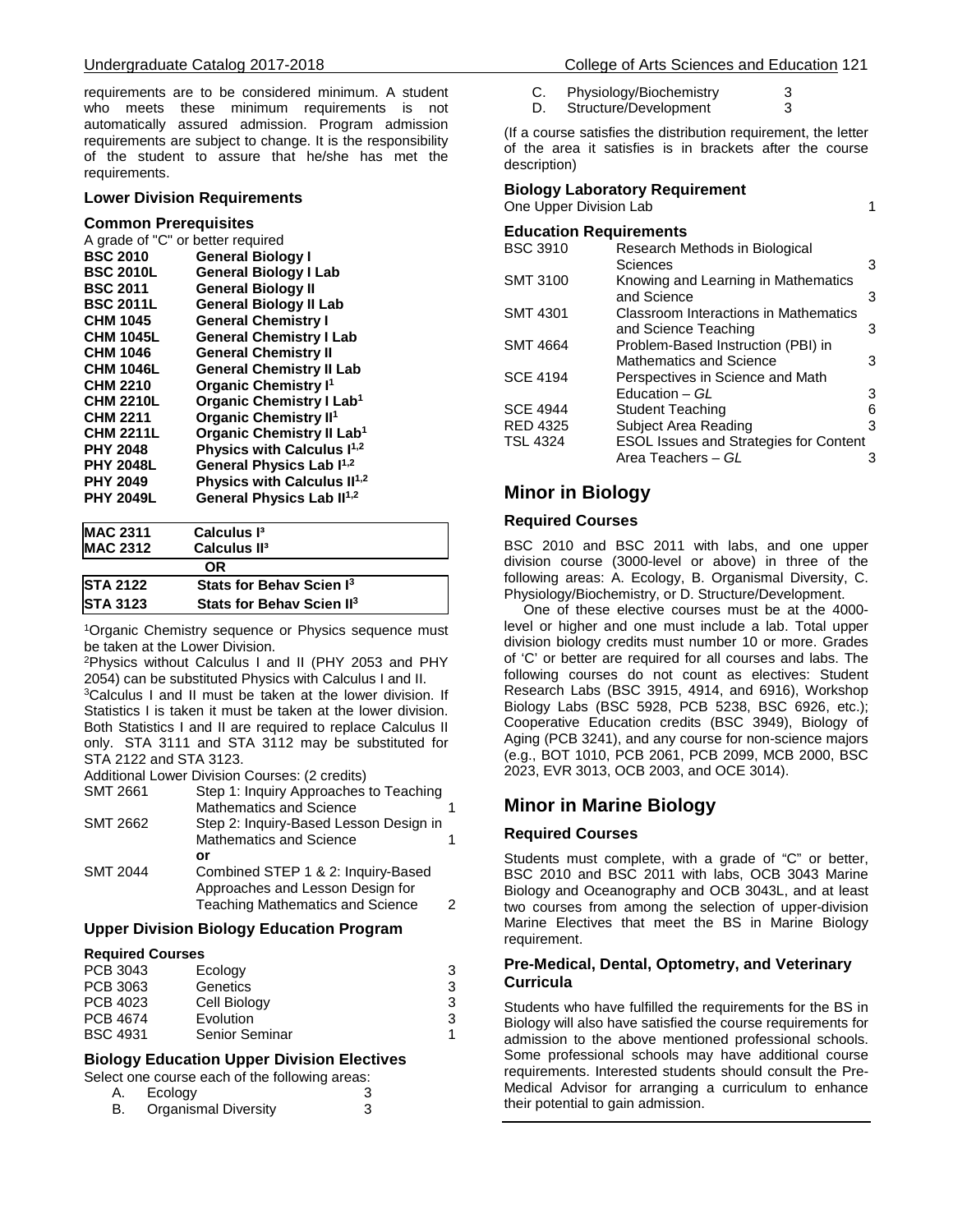requirements are to be considered minimum. A student who meets these minimum requirements is not automatically assured admission. Program admission requirements are subject to change. It is the responsibility of the student to assure that he/she has met the requirements.

#### **Lower Division Requirements**

#### **Common Prerequisites**

| A grade of "C" or better required |                                         |  |
|-----------------------------------|-----------------------------------------|--|
| <b>BSC 2010</b>                   | <b>General Biology I</b>                |  |
| <b>BSC 2010L</b>                  | <b>General Biology I Lab</b>            |  |
| <b>BSC 2011</b>                   | <b>General Biology II</b>               |  |
| <b>BSC 2011L</b>                  | <b>General Biology II Lab</b>           |  |
| <b>CHM 1045</b>                   | <b>General Chemistry I</b>              |  |
| <b>CHM 1045L</b>                  | <b>General Chemistry I Lab</b>          |  |
| <b>CHM 1046</b>                   | <b>General Chemistry II</b>             |  |
| <b>CHM 1046L</b>                  | <b>General Chemistry II Lab</b>         |  |
| <b>CHM 2210</b>                   | <b>Organic Chemistry I<sup>1</sup></b>  |  |
| <b>CHM 2210L</b>                  | Organic Chemistry I Lab <sup>1</sup>    |  |
| <b>CHM 2211</b>                   | <b>Organic Chemistry II<sup>1</sup></b> |  |
| <b>CHM 2211L</b>                  | Organic Chemistry II Lab <sup>1</sup>   |  |
| <b>PHY 2048</b>                   | Physics with Calculus I <sup>1,2</sup>  |  |
| <b>PHY 2048L</b>                  | General Physics Lab I <sup>1,2</sup>    |  |
| <b>PHY 2049</b>                   | Physics with Calculus II <sup>1,2</sup> |  |
| <b>PHY 2049L</b>                  | General Physics Lab II <sup>1,2</sup>   |  |
|                                   |                                         |  |

| <b>MAC 2311</b> | Calculus I <sup>3</sup>               |  |
|-----------------|---------------------------------------|--|
| <b>MAC 2312</b> | Calculus II <sup>3</sup>              |  |
|                 | ΟR                                    |  |
| <b>STA 2122</b> | Stats for Behav Scien I <sup>3</sup>  |  |
| <b>STA 3123</b> | Stats for Behav Scien II <sup>3</sup> |  |

<sup>1</sup>Organic Chemistry sequence or Physics sequence must be taken at the Lower Division.

2Physics without Calculus I and II (PHY 2053 and PHY 2054) can be substituted Physics with Calculus I and II.

3Calculus I and II must be taken at the lower division. If Statistics I is taken it must be taken at the lower division. Both Statistics I and II are required to replace Calculus II only. STA 3111 and STA 3112 may be substituted for STA 2122 and STA 3123.

Additional Lower Division Courses: (2 credits)

| <b>SMT 2661</b> | Step 1: Inquiry Approaches to Teaching  |  |
|-----------------|-----------------------------------------|--|
|                 | <b>Mathematics and Science</b>          |  |
| <b>SMT 2662</b> | Step 2: Inquiry-Based Lesson Design in  |  |
|                 | <b>Mathematics and Science</b>          |  |
|                 | or                                      |  |
| <b>SMT 2044</b> | Combined STEP 1 & 2: Inquiry-Based      |  |
|                 | Approaches and Lesson Design for        |  |
|                 | <b>Teaching Mathematics and Science</b> |  |

# **Upper Division Biology Education Program**

#### **Required Courses**

| PCB 3043        | Ecology        | 3 |
|-----------------|----------------|---|
| PCB 3063        | Genetics       | 3 |
| PCB 4023        | Cell Biology   | 3 |
| PCB 4674        | Evolution      | 3 |
| <b>BSC 4931</b> | Senior Seminar |   |
|                 |                |   |

# **Biology Education Upper Division Electives**

|  |  |  | Select one course each of the following areas: |  |  |
|--|--|--|------------------------------------------------|--|--|
|  |  |  |                                                |  |  |

| A. | Ecology                     |  |
|----|-----------------------------|--|
| B  | <b>Organismal Diversity</b> |  |

C. Physiology/Biochemistry 3<br>D. Structure/Development 3 Structure/Development

(If a course satisfies the distribution requirement, the letter of the area it satisfies is in brackets after the course description)

| <b>Biology Laboratory Requirement</b> |  |  |  |
|---------------------------------------|--|--|--|
|---------------------------------------|--|--|--|

One Upper Division Lab 1

| <b>Education Requirements</b> |                                               |   |
|-------------------------------|-----------------------------------------------|---|
| <b>BSC 3910</b>               | Research Methods in Biological                |   |
|                               | Sciences                                      | 3 |
| <b>SMT 3100</b>               | Knowing and Learning in Mathematics           |   |
|                               | and Science                                   | 3 |
| <b>SMT 4301</b>               | Classroom Interactions in Mathematics         |   |
|                               | and Science Teaching                          | 3 |
| <b>SMT 4664</b>               | Problem-Based Instruction (PBI) in            |   |
|                               | Mathematics and Science                       | 3 |
| <b>SCE 4194</b>               | Perspectives in Science and Math              |   |
|                               | Education - GL                                | 3 |
| <b>SCE 4944</b>               | <b>Student Teaching</b>                       | 6 |
| <b>RED 4325</b>               | Subject Area Reading                          | 3 |
| <b>TSL 4324</b>               | <b>ESOL Issues and Strategies for Content</b> |   |
|                               | Area Teachers - GL                            | з |

# **Minor in Biology**

#### **Required Courses**

BSC 2010 and BSC 2011 with labs, and one upper division course (3000-level or above) in three of the following areas: A. Ecology, B. Organismal Diversity, C. Physiology/Biochemistry, or D. Structure/Development.

 One of these elective courses must be at the 4000 level or higher and one must include a lab. Total upper division biology credits must number 10 or more. Grades of 'C' or better are required for all courses and labs. The following courses do not count as electives: Student Research Labs (BSC 3915, 4914, and 6916), Workshop Biology Labs (BSC 5928, PCB 5238, BSC 6926, etc.); Cooperative Education credits (BSC 3949), Biology of Aging (PCB 3241), and any course for non-science majors (e.g., BOT 1010, PCB 2061, PCB 2099, MCB 2000, BSC 2023, EVR 3013, OCB 2003, and OCE 3014).

# **Minor in Marine Biology**

#### **Required Courses**

Students must complete, with a grade of "C" or better, BSC 2010 and BSC 2011 with labs, OCB 3043 Marine Biology and Oceanography and OCB 3043L, and at least two courses from among the selection of upper-division Marine Electives that meet the BS in Marine Biology requirement.

#### **Pre-Medical, Dental, Optometry, and Veterinary Curricula**

Students who have fulfilled the requirements for the BS in Biology will also have satisfied the course requirements for admission to the above mentioned professional schools. Some professional schools may have additional course requirements. Interested students should consult the Pre-Medical Advisor for arranging a curriculum to enhance their potential to gain admission.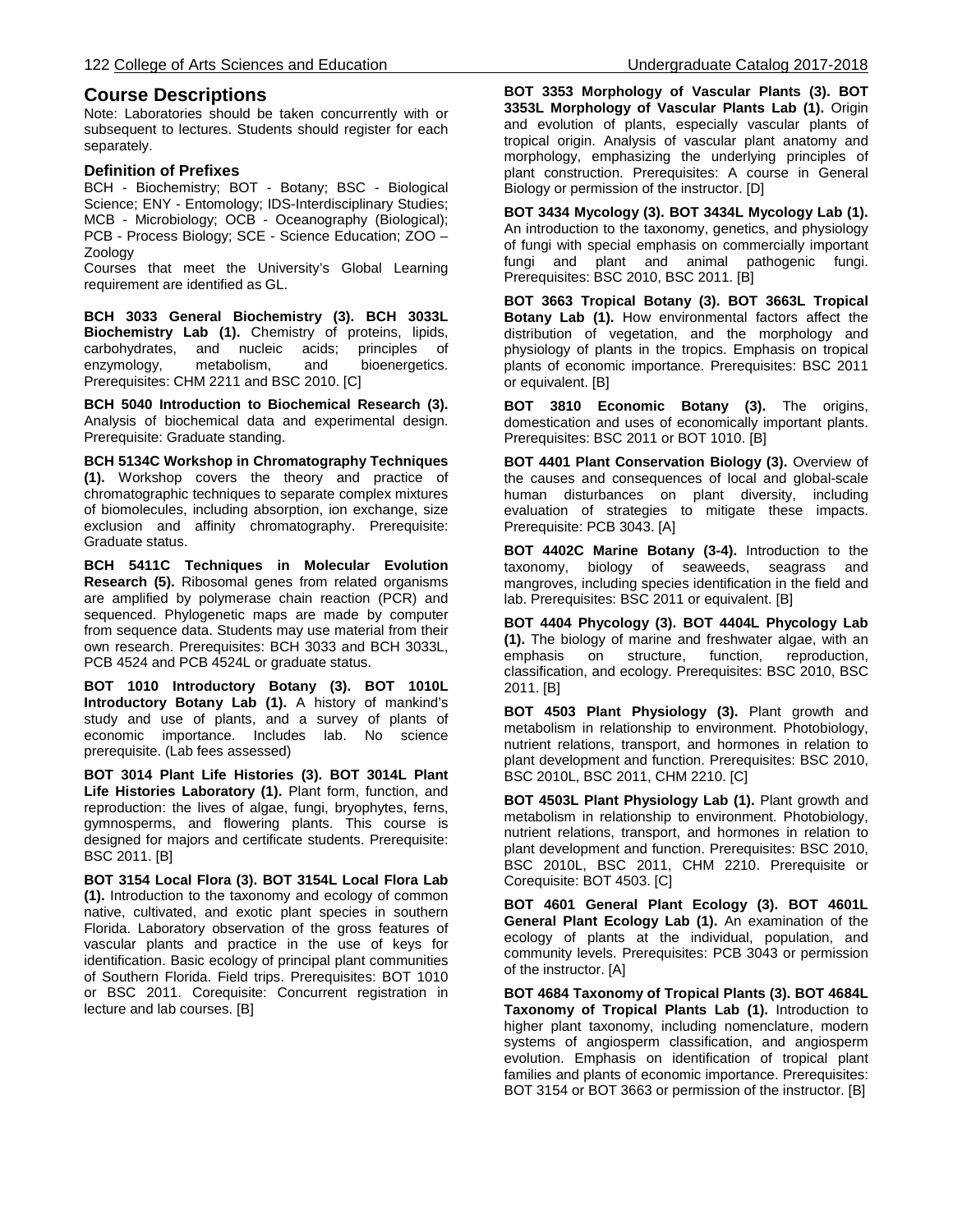# **Course Descriptions**

Note: Laboratories should be taken concurrently with or subsequent to lectures. Students should register for each separately.

### **Definition of Prefixes**

BCH - Biochemistry; BOT - Botany; BSC - Biological Science; ENY - Entomology; IDS-Interdisciplinary Studies; MCB - Microbiology; OCB - Oceanography (Biological); PCB - Process Biology; SCE - Science Education; ZOO – Zoology

Courses that meet the University's Global Learning requirement are identified as GL.

**BCH 3033 General Biochemistry (3). BCH 3033L Biochemistry Lab (1).** Chemistry of proteins, lipids, carbohydrates, and nucleic acids; principles of carbohydrates, and nucleic acids; enzymology, metabolism, and bioenergetics. Prerequisites: CHM 2211 and BSC 2010. [C]

**BCH 5040 Introduction to Biochemical Research (3).** Analysis of biochemical data and experimental design. Prerequisite: Graduate standing.

**BCH 5134C Workshop in Chromatography Techniques (1).** Workshop covers the theory and practice of chromatographic techniques to separate complex mixtures of biomolecules, including absorption, ion exchange, size exclusion and affinity chromatography. Prerequisite: Graduate status.

**BCH 5411C Techniques in Molecular Evolution Research (5).** Ribosomal genes from related organisms are amplified by polymerase chain reaction (PCR) and sequenced. Phylogenetic maps are made by computer from sequence data. Students may use material from their own research. Prerequisites: BCH 3033 and BCH 3033L, PCB 4524 and PCB 4524L or graduate status.

**BOT 1010 Introductory Botany (3). BOT 1010L Introductory Botany Lab (1).** A history of mankind's study and use of plants, and a survey of plants of economic importance. Includes lab. No science prerequisite. (Lab fees assessed)

**BOT 3014 Plant Life Histories (3). BOT 3014L Plant**  Life Histories Laboratory (1). Plant form, function, and reproduction: the lives of algae, fungi, bryophytes, ferns, gymnosperms, and flowering plants. This course is designed for majors and certificate students. Prerequisite: BSC 2011. [B]

**BOT 3154 Local Flora (3). BOT 3154L Local Flora Lab (1).** Introduction to the taxonomy and ecology of common native, cultivated, and exotic plant species in southern Florida. Laboratory observation of the gross features of vascular plants and practice in the use of keys for identification. Basic ecology of principal plant communities of Southern Florida. Field trips. Prerequisites: BOT 1010 or BSC 2011. Corequisite: Concurrent registration in lecture and lab courses. [B]

**BOT 3353 Morphology of Vascular Plants (3). BOT 3353L Morphology of Vascular Plants Lab (1).** Origin and evolution of plants, especially vascular plants of tropical origin. Analysis of vascular plant anatomy and morphology, emphasizing the underlying principles of plant construction. Prerequisites: A course in General Biology or permission of the instructor. [D]

**BOT 3434 Mycology (3). BOT 3434L Mycology Lab (1).** An introduction to the taxonomy, genetics, and physiology of fungi with special emphasis on commercially important fungi and plant and animal pathogenic fungi. Prerequisites: BSC 2010, BSC 2011. [B]

**BOT 3663 Tropical Botany (3). BOT 3663L Tropical Botany Lab (1).** How environmental factors affect the distribution of vegetation, and the morphology and physiology of plants in the tropics. Emphasis on tropical plants of economic importance. Prerequisites: BSC 2011 or equivalent. [B]

**BOT 3810 Economic Botany (3).** The origins, domestication and uses of economically important plants. Prerequisites: BSC 2011 or BOT 1010. [B]

**BOT 4401 Plant Conservation Biology (3).** Overview of the causes and consequences of local and global-scale human disturbances on plant diversity, including evaluation of strategies to mitigate these impacts. Prerequisite: PCB 3043. [A]

**BOT 4402C Marine Botany (3-4).** Introduction to the taxonomy, biology of seaweeds, seagrass and mangroves, including species identification in the field and lab. Prerequisites: BSC 2011 or equivalent. [B]

**BOT 4404 Phycology (3). BOT 4404L Phycology Lab (1).** The biology of marine and freshwater algae, with an emphasis on structure, function, reproduction, classification, and ecology. Prerequisites: BSC 2010, BSC 2011. [B]

**BOT 4503 Plant Physiology (3).** Plant growth and metabolism in relationship to environment. Photobiology, nutrient relations, transport, and hormones in relation to plant development and function. Prerequisites: BSC 2010, BSC 2010L, BSC 2011, CHM 2210. [C]

**BOT 4503L Plant Physiology Lab (1).** Plant growth and metabolism in relationship to environment. Photobiology, nutrient relations, transport, and hormones in relation to plant development and function. Prerequisites: BSC 2010, BSC 2010L, BSC 2011, CHM 2210. Prerequisite or Corequisite: BOT 4503. [C]

**BOT 4601 General Plant Ecology (3). BOT 4601L General Plant Ecology Lab (1).** An examination of the ecology of plants at the individual, population, and community levels. Prerequisites: PCB 3043 or permission of the instructor. [A]

**BOT 4684 Taxonomy of Tropical Plants (3). BOT 4684L Taxonomy of Tropical Plants Lab (1).** Introduction to higher plant taxonomy, including nomenclature, modern systems of angiosperm classification, and angiosperm evolution. Emphasis on identification of tropical plant families and plants of economic importance. Prerequisites: BOT 3154 or BOT 3663 or permission of the instructor. [B]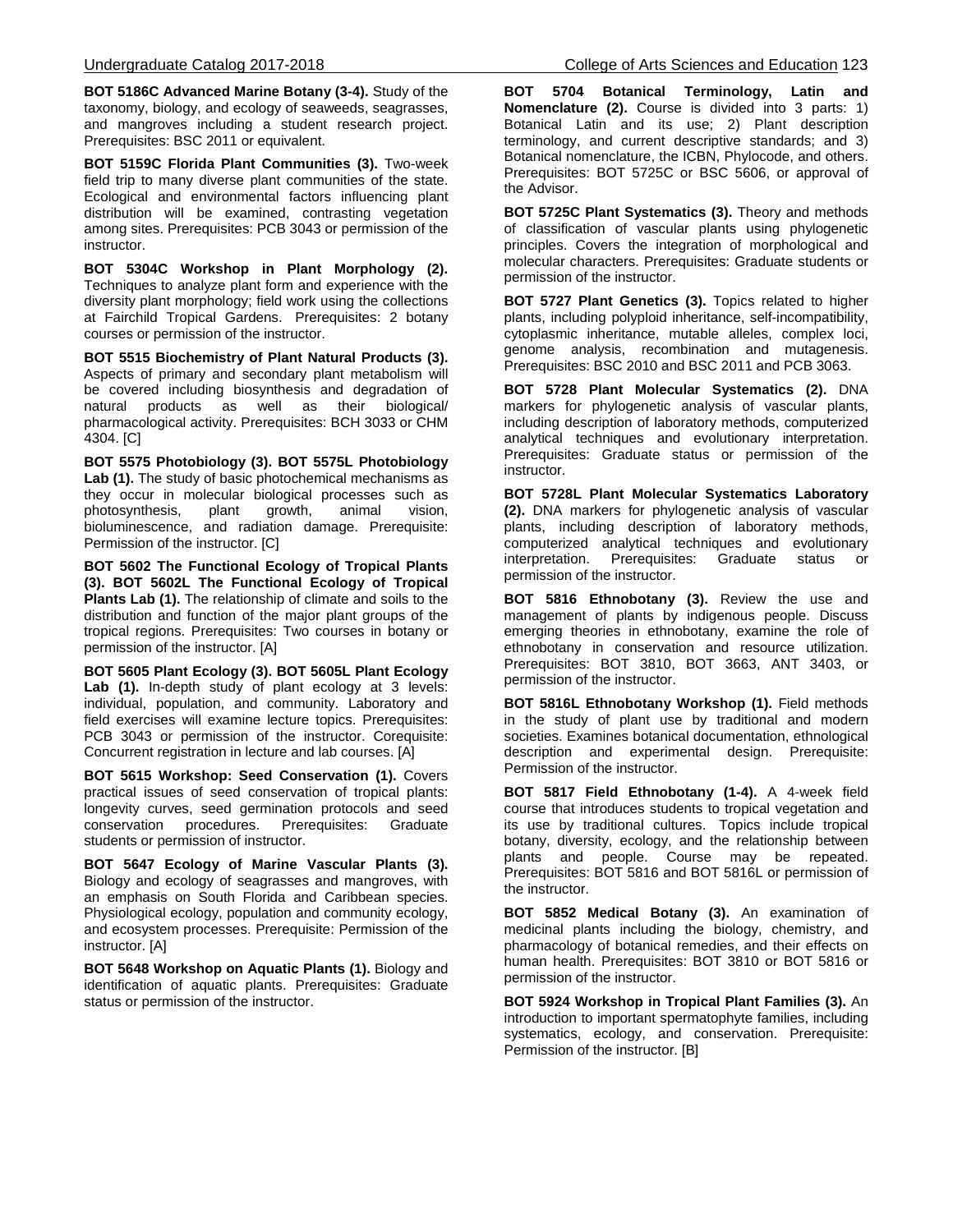**BOT 5186C Advanced Marine Botany (3-4).** Study of the taxonomy, biology, and ecology of seaweeds, seagrasses, and mangroves including a student research project. Prerequisites: BSC 2011 or equivalent.

**BOT 5159C Florida Plant Communities (3).** Two-week field trip to many diverse plant communities of the state. Ecological and environmental factors influencing plant distribution will be examined, contrasting vegetation among sites. Prerequisites: PCB 3043 or permission of the instructor.

**BOT 5304C Workshop in Plant Morphology (2).**  Techniques to analyze plant form and experience with the diversity plant morphology; field work using the collections at Fairchild Tropical Gardens. Prerequisites: 2 botany courses or permission of the instructor.

**BOT 5515 Biochemistry of Plant Natural Products (3).** Aspects of primary and secondary plant metabolism will be covered including biosynthesis and degradation of natural products as well as their biological/ pharmacological activity. Prerequisites: BCH 3033 or CHM 4304. [C]

**BOT 5575 Photobiology (3). BOT 5575L Photobiology Lab (1).** The study of basic photochemical mechanisms as they occur in molecular biological processes such as<br>photosynthesis, plant growth, animal vision, photosynthesis, bioluminescence, and radiation damage. Prerequisite: Permission of the instructor. [C]

**BOT 5602 The Functional Ecology of Tropical Plants (3). BOT 5602L The Functional Ecology of Tropical Plants Lab (1).** The relationship of climate and soils to the distribution and function of the major plant groups of the tropical regions. Prerequisites: Two courses in botany or permission of the instructor. [A]

**BOT 5605 Plant Ecology (3). BOT 5605L Plant Ecology**  Lab (1). In-depth study of plant ecology at 3 levels: individual, population, and community. Laboratory and field exercises will examine lecture topics. Prerequisites: PCB 3043 or permission of the instructor. Corequisite: Concurrent registration in lecture and lab courses. [A]

**BOT 5615 Workshop: Seed Conservation (1).** Covers practical issues of seed conservation of tropical plants: longevity curves, seed germination protocols and seed conservation procedures. Prerequisites: Graduate students or permission of instructor.

**BOT 5647 Ecology of Marine Vascular Plants (3).** Biology and ecology of seagrasses and mangroves, with an emphasis on South Florida and Caribbean species. Physiological ecology, population and community ecology, and ecosystem processes. Prerequisite: Permission of the instructor. [A]

**BOT 5648 Workshop on Aquatic Plants (1).** Biology and identification of aquatic plants. Prerequisites: Graduate status or permission of the instructor.

**BOT 5704 Botanical Terminology, Latin and Nomenclature (2).** Course is divided into 3 parts: 1) Botanical Latin and its use; 2) Plant description terminology, and current descriptive standards; and 3) Botanical nomenclature, the ICBN, Phylocode, and others. Prerequisites: BOT 5725C or BSC 5606, or approval of the Advisor.

**BOT 5725C Plant Systematics (3).** Theory and methods of classification of vascular plants using phylogenetic principles. Covers the integration of morphological and molecular characters. Prerequisites: Graduate students or permission of the instructor.

**BOT 5727 Plant Genetics (3).** Topics related to higher plants, including polyploid inheritance, self-incompatibility, cytoplasmic inheritance, mutable alleles, complex loci, genome analysis, recombination and mutagenesis. Prerequisites: BSC 2010 and BSC 2011 and PCB 3063.

**BOT 5728 Plant Molecular Systematics (2).** DNA markers for phylogenetic analysis of vascular plants, including description of laboratory methods, computerized analytical techniques and evolutionary interpretation. Prerequisites: Graduate status or permission of the instructor.

**BOT 5728L Plant Molecular Systematics Laboratory (2).** DNA markers for phylogenetic analysis of vascular plants, including description of laboratory methods, computerized analytical techniques and evolutionary interpretation. Prerequisites: Graduate status permission of the instructor.

**BOT 5816 Ethnobotany (3).** Review the use and management of plants by indigenous people. Discuss emerging theories in ethnobotany, examine the role of ethnobotany in conservation and resource utilization. Prerequisites: BOT 3810, BOT 3663, ANT 3403, or permission of the instructor.

**BOT 5816L Ethnobotany Workshop (1).** Field methods in the study of plant use by traditional and modern societies. Examines botanical documentation, ethnological description and experimental design. Prerequisite: Permission of the instructor.

**BOT 5817 Field Ethnobotany (1-4).** A 4-week field course that introduces students to tropical vegetation and its use by traditional cultures. Topics include tropical botany, diversity, ecology, and the relationship between plants and people. Course may be repeated. Prerequisites: BOT 5816 and BOT 5816L or permission of the instructor.

**BOT 5852 Medical Botany (3).** An examination of medicinal plants including the biology, chemistry, and pharmacology of botanical remedies, and their effects on human health. Prerequisites: BOT 3810 or BOT 5816 or permission of the instructor.

**BOT 5924 Workshop in Tropical Plant Families (3).** An introduction to important spermatophyte families, including systematics, ecology, and conservation. Prerequisite: Permission of the instructor. [B]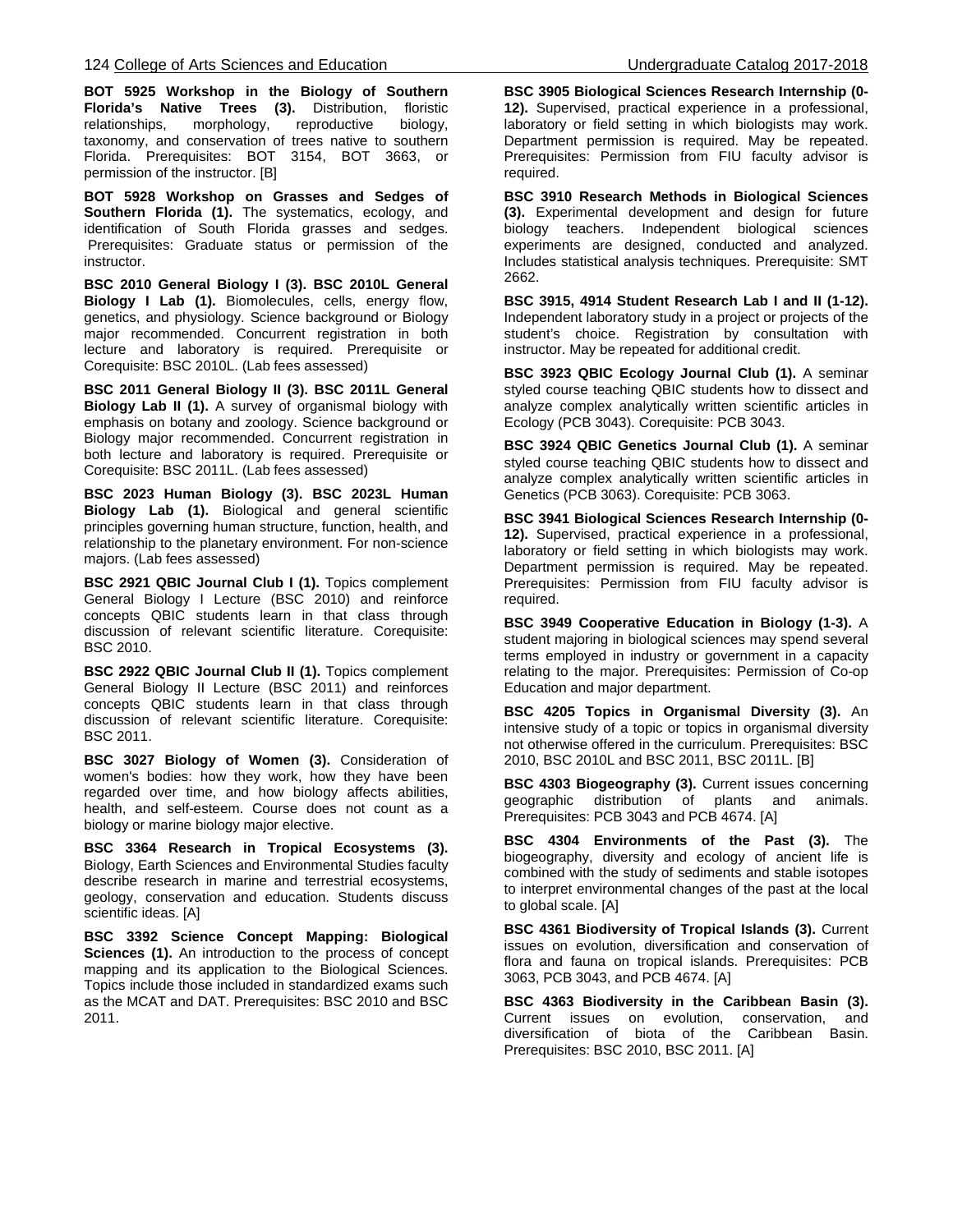**BOT 5925 Workshop in the Biology of Southern Florida's Native Trees (3).** Distribution, floristic relationships, morphology, reproductive biology, taxonomy, and conservation of trees native to southern Florida. Prerequisites: BOT 3154, BOT 3663, or permission of the instructor. [B]

**BOT 5928 Workshop on Grasses and Sedges of Southern Florida (1).** The systematics, ecology, and identification of South Florida grasses and sedges. Prerequisites: Graduate status or permission of the instructor.

**BSC 2010 General Biology I (3). BSC 2010L General Biology I Lab (1).** Biomolecules, cells, energy flow, genetics, and physiology. Science background or Biology major recommended. Concurrent registration in both lecture and laboratory is required. Prerequisite or Corequisite: BSC 2010L. (Lab fees assessed)

**BSC 2011 General Biology II (3). BSC 2011L General Biology Lab II (1).** A survey of organismal biology with emphasis on botany and zoology. Science background or Biology major recommended. Concurrent registration in both lecture and laboratory is required. Prerequisite or Corequisite: BSC 2011L. (Lab fees assessed)

**BSC 2023 Human Biology (3). BSC 2023L Human Biology Lab (1).** Biological and general scientific principles governing human structure, function, health, and relationship to the planetary environment. For non-science majors. (Lab fees assessed)

**BSC 2921 QBIC Journal Club I (1).** Topics complement General Biology I Lecture (BSC 2010) and reinforce concepts QBIC students learn in that class through discussion of relevant scientific literature. Corequisite: BSC 2010.

**BSC 2922 QBIC Journal Club II (1).** Topics complement General Biology II Lecture (BSC 2011) and reinforces concepts QBIC students learn in that class through discussion of relevant scientific literature. Corequisite: BSC 2011.

**BSC 3027 Biology of Women (3).** Consideration of women's bodies: how they work, how they have been regarded over time, and how biology affects abilities, health, and self-esteem. Course does not count as a biology or marine biology major elective.

**BSC 3364 Research in Tropical Ecosystems (3).** Biology, Earth Sciences and Environmental Studies faculty describe research in marine and terrestrial ecosystems, geology, conservation and education. Students discuss scientific ideas. [A]

**BSC 3392 Science Concept Mapping: Biological Sciences (1).** An introduction to the process of concept mapping and its application to the Biological Sciences. Topics include those included in standardized exams such as the MCAT and DAT. Prerequisites: BSC 2010 and BSC 2011.

**BSC 3905 Biological Sciences Research Internship (0- 12).** Supervised, practical experience in a professional, laboratory or field setting in which biologists may work. Department permission is required. May be repeated. Prerequisites: Permission from FIU faculty advisor is required.

**BSC 3910 Research Methods in Biological Sciences (3).** Experimental development and design for future biology teachers. Independent biological sciences experiments are designed, conducted and analyzed. Includes statistical analysis techniques. Prerequisite: SMT 2662.

**BSC 3915, 4914 Student Research Lab I and II (1-12).**  Independent laboratory study in a project or projects of the student's choice. Registration by consultation with instructor. May be repeated for additional credit.

**BSC 3923 QBIC Ecology Journal Club (1).** A seminar styled course teaching QBIC students how to dissect and analyze complex analytically written scientific articles in Ecology (PCB 3043). Corequisite: PCB 3043.

**BSC 3924 QBIC Genetics Journal Club (1).** A seminar styled course teaching QBIC students how to dissect and analyze complex analytically written scientific articles in Genetics (PCB 3063). Corequisite: PCB 3063.

**BSC 3941 Biological Sciences Research Internship (0- 12).** Supervised, practical experience in a professional, laboratory or field setting in which biologists may work. Department permission is required. May be repeated. Prerequisites: Permission from FIU faculty advisor is required.

**BSC 3949 Cooperative Education in Biology (1-3).** A student majoring in biological sciences may spend several terms employed in industry or government in a capacity relating to the major. Prerequisites: Permission of Co-op Education and major department.

**BSC 4205 Topics in Organismal Diversity (3).** An intensive study of a topic or topics in organismal diversity not otherwise offered in the curriculum. Prerequisites: BSC 2010, BSC 2010L and BSC 2011, BSC 2011L. [B]

**BSC 4303 Biogeography (3).** Current issues concerning geographic distribution of plants and animals. Prerequisites: PCB 3043 and PCB 4674. [A]

**BSC 4304 Environments of the Past (3).** The biogeography, diversity and ecology of ancient life is combined with the study of sediments and stable isotopes to interpret environmental changes of the past at the local to global scale. [A]

**BSC 4361 Biodiversity of Tropical Islands (3).** Current issues on evolution, diversification and conservation of flora and fauna on tropical islands. Prerequisites: PCB 3063, PCB 3043, and PCB 4674. [A]

**BSC 4363 Biodiversity in the Caribbean Basin (3).**  Current issues on evolution, conservation, and diversification of biota of the Caribbean Basin. Prerequisites: BSC 2010, BSC 2011. [A]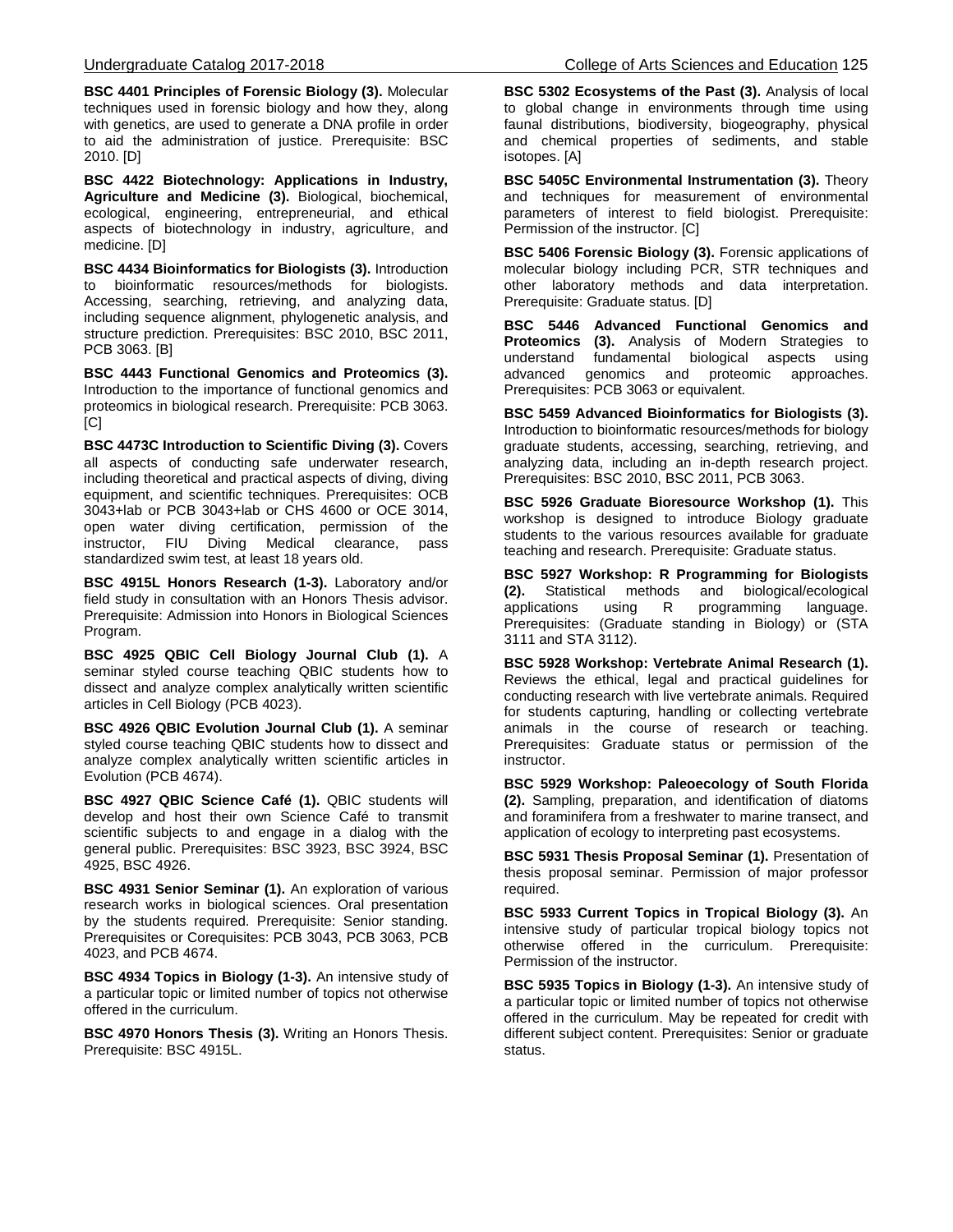**BSC 4401 Principles of Forensic Biology (3).** Molecular techniques used in forensic biology and how they, along with genetics, are used to generate a DNA profile in order to aid the administration of justice. Prerequisite: BSC 2010. [D]

**BSC 4422 Biotechnology: Applications in Industry, Agriculture and Medicine (3).** Biological, biochemical, ecological, engineering, entrepreneurial, and ethical aspects of biotechnology in industry, agriculture, and medicine. [D]

**BSC 4434 Bioinformatics for Biologists (3).** Introduction to bioinformatic resources/methods for biologists. Accessing, searching, retrieving, and analyzing data, including sequence alignment, phylogenetic analysis, and structure prediction. Prerequisites: BSC 2010, BSC 2011, PCB 3063. [B]

**BSC 4443 Functional Genomics and Proteomics (3).** Introduction to the importance of functional genomics and proteomics in biological research. Prerequisite: PCB 3063.  $[CI]$ 

**BSC 4473C Introduction to Scientific Diving (3).** Covers all aspects of conducting safe underwater research, including theoretical and practical aspects of diving, diving equipment, and scientific techniques. Prerequisites: OCB 3043+lab or PCB 3043+lab or CHS 4600 or OCE 3014, open water diving certification, permission of the instructor, FIU Diving Medical clearance, pass standardized swim test, at least 18 years old.

**BSC 4915L Honors Research (1-3).** Laboratory and/or field study in consultation with an Honors Thesis advisor. Prerequisite: Admission into Honors in Biological Sciences Program.

**BSC 4925 QBIC Cell Biology Journal Club (1).** A seminar styled course teaching QBIC students how to dissect and analyze complex analytically written scientific articles in Cell Biology (PCB 4023).

**BSC 4926 QBIC Evolution Journal Club (1).** A seminar styled course teaching QBIC students how to dissect and analyze complex analytically written scientific articles in Evolution (PCB 4674).

**BSC 4927 QBIC Science Café (1).** QBIC students will develop and host their own Science Café to transmit scientific subjects to and engage in a dialog with the general public. Prerequisites: BSC 3923, BSC 3924, BSC 4925, BSC 4926.

**BSC 4931 Senior Seminar (1).** An exploration of various research works in biological sciences. Oral presentation by the students required. Prerequisite: Senior standing. Prerequisites or Corequisites: PCB 3043, PCB 3063, PCB 4023, and PCB 4674.

**BSC 4934 Topics in Biology (1-3).** An intensive study of a particular topic or limited number of topics not otherwise offered in the curriculum.

**BSC 4970 Honors Thesis (3).** Writing an Honors Thesis. Prerequisite: BSC 4915L.

**BSC 5302 Ecosystems of the Past (3).** Analysis of local to global change in environments through time using faunal distributions, biodiversity, biogeography, physical and chemical properties of sediments, and stable isotopes. [A]

**BSC 5405C Environmental Instrumentation (3).** Theory and techniques for measurement of environmental parameters of interest to field biologist. Prerequisite: Permission of the instructor. [C]

**BSC 5406 Forensic Biology (3).** Forensic applications of molecular biology including PCR, STR techniques and other laboratory methods and data interpretation. Prerequisite: Graduate status. [D]

**BSC 5446 Advanced Functional Genomics and Proteomics (3).** Analysis of Modern Strategies to understand fundamental biological aspects using fundamental biological aspects advanced genomics and proteomic approaches. Prerequisites: PCB 3063 or equivalent.

**BSC 5459 Advanced Bioinformatics for Biologists (3).** Introduction to bioinformatic resources/methods for biology graduate students, accessing, searching, retrieving, and analyzing data, including an in-depth research project. Prerequisites: BSC 2010, BSC 2011, PCB 3063.

**BSC 5926 Graduate Bioresource Workshop (1).** This workshop is designed to introduce Biology graduate students to the various resources available for graduate teaching and research. Prerequisite: Graduate status.

**BSC 5927 Workshop: R Programming for Biologists (2).** Statistical methods and biological/ecological using R programming language. Prerequisites: (Graduate standing in Biology) or (STA 3111 and STA 3112).

**BSC 5928 Workshop: Vertebrate Animal Research (1).** Reviews the ethical, legal and practical guidelines for conducting research with live vertebrate animals. Required for students capturing, handling or collecting vertebrate animals in the course of research or teaching. Prerequisites: Graduate status or permission of the instructor.

**BSC 5929 Workshop: Paleoecology of South Florida (2).** Sampling, preparation, and identification of diatoms and foraminifera from a freshwater to marine transect, and application of ecology to interpreting past ecosystems.

**BSC 5931 Thesis Proposal Seminar (1).** Presentation of thesis proposal seminar. Permission of major professor required.

**BSC 5933 Current Topics in Tropical Biology (3).** An intensive study of particular tropical biology topics not otherwise offered in the curriculum. Prerequisite: Permission of the instructor.

**BSC 5935 Topics in Biology (1-3).** An intensive study of a particular topic or limited number of topics not otherwise offered in the curriculum. May be repeated for credit with different subject content. Prerequisites: Senior or graduate status.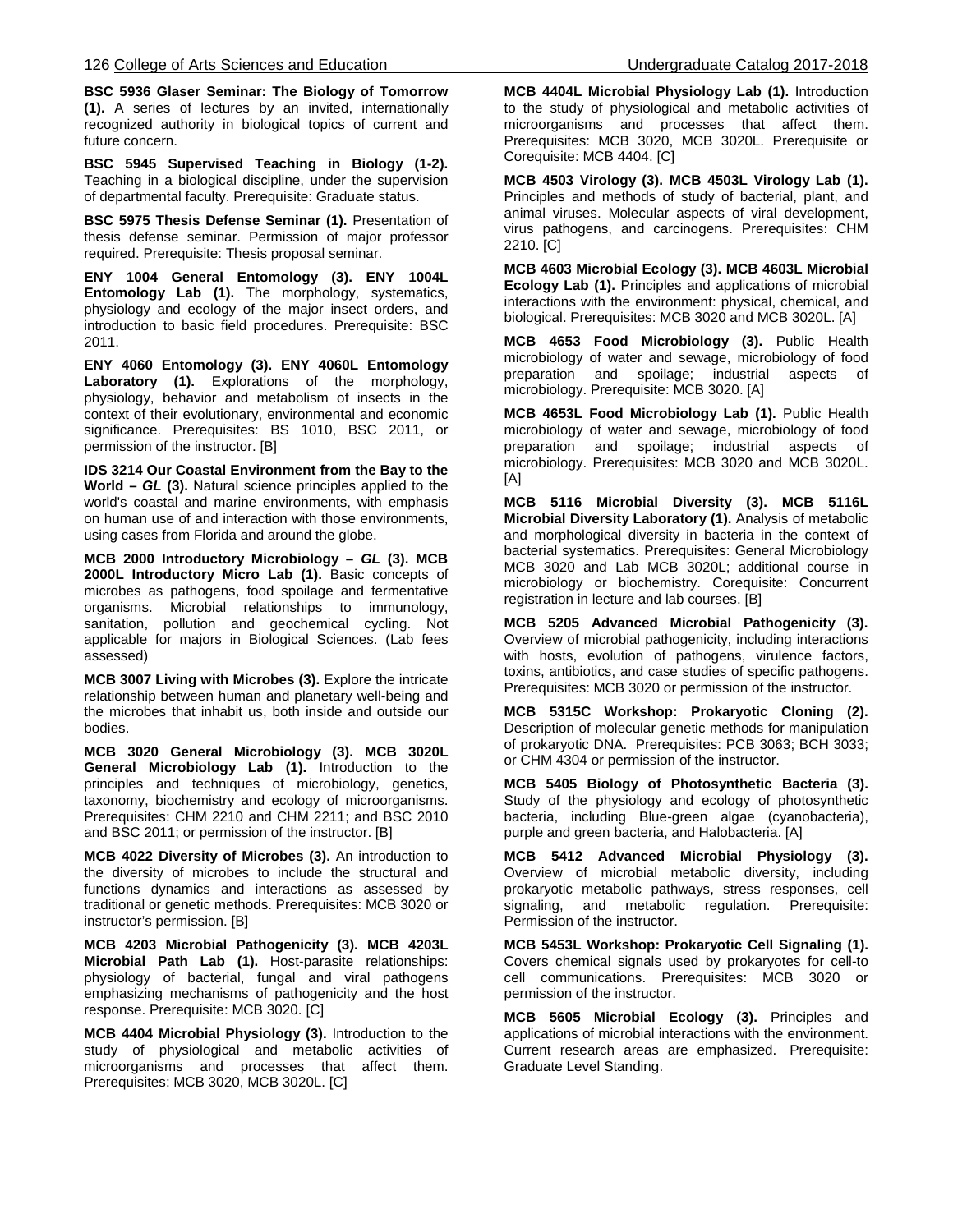**BSC 5936 Glaser Seminar: The Biology of Tomorrow (1).** A series of lectures by an invited, internationally recognized authority in biological topics of current and future concern.

**BSC 5945 Supervised Teaching in Biology (1-2).** Teaching in a biological discipline, under the supervision of departmental faculty. Prerequisite: Graduate status.

**BSC 5975 Thesis Defense Seminar (1).** Presentation of thesis defense seminar. Permission of major professor required. Prerequisite: Thesis proposal seminar.

**ENY 1004 General Entomology (3). ENY 1004L Entomology Lab (1).** The morphology, systematics, physiology and ecology of the major insect orders, and introduction to basic field procedures. Prerequisite: BSC 2011.

**ENY 4060 Entomology (3). ENY 4060L Entomology Laboratory (1).** Explorations of the morphology, physiology, behavior and metabolism of insects in the context of their evolutionary, environmental and economic significance. Prerequisites: BS 1010, BSC 2011, or permission of the instructor. [B]

**IDS 3214 Our Coastal Environment from the Bay to the World –** *GL* **(3).** Natural science principles applied to the world's coastal and marine environments, with emphasis on human use of and interaction with those environments, using cases from Florida and around the globe.

**MCB 2000 Introductory Microbiology –** *GL* **(3). MCB 2000L Introductory Micro Lab (1).** Basic concepts of microbes as pathogens, food spoilage and fermentative organisms. Microbial relationships to immunology, sanitation, pollution and geochemical cycling. Not applicable for majors in Biological Sciences. (Lab fees assessed)

**MCB 3007 Living with Microbes (3).** Explore the intricate relationship between human and planetary well-being and the microbes that inhabit us, both inside and outside our bodies.

**MCB 3020 General Microbiology (3). MCB 3020L General Microbiology Lab (1).** Introduction to the principles and techniques of microbiology, genetics, taxonomy, biochemistry and ecology of microorganisms. Prerequisites: CHM 2210 and CHM 2211; and BSC 2010 and BSC 2011; or permission of the instructor. [B]

**MCB 4022 Diversity of Microbes (3).** An introduction to the diversity of microbes to include the structural and functions dynamics and interactions as assessed by traditional or genetic methods. Prerequisites: MCB 3020 or instructor's permission. [B]

**MCB 4203 Microbial Pathogenicity (3). MCB 4203L Microbial Path Lab (1).** Host-parasite relationships: physiology of bacterial, fungal and viral pathogens emphasizing mechanisms of pathogenicity and the host response. Prerequisite: MCB 3020. [C]

**MCB 4404 Microbial Physiology (3).** Introduction to the study of physiological and metabolic activities of microorganisms and processes that affect them. Prerequisites: MCB 3020, MCB 3020L. [C]

**MCB 4404L Microbial Physiology Lab (1).** Introduction to the study of physiological and metabolic activities of microorganisms and processes that affect them. Prerequisites: MCB 3020, MCB 3020L. Prerequisite or Corequisite: MCB 4404. [C]

**MCB 4503 Virology (3). MCB 4503L Virology Lab (1).**  Principles and methods of study of bacterial, plant, and animal viruses. Molecular aspects of viral development, virus pathogens, and carcinogens. Prerequisites: CHM 2210. [C]

**MCB 4603 Microbial Ecology (3). MCB 4603L Microbial Ecology Lab (1).** Principles and applications of microbial interactions with the environment: physical, chemical, and biological. Prerequisites: MCB 3020 and MCB 3020L. [A]

**MCB 4653 Food Microbiology (3).** Public Health microbiology of water and sewage, microbiology of food preparation and spoilage; industrial aspects of microbiology. Prerequisite: MCB 3020. [A]

**MCB 4653L Food Microbiology Lab (1).** Public Health microbiology of water and sewage, microbiology of food preparation and spoilage; industrial aspects of microbiology. Prerequisites: MCB 3020 and MCB 3020L. [A]

**MCB 5116 Microbial Diversity (3). MCB 5116L Microbial Diversity Laboratory (1).** Analysis of metabolic and morphological diversity in bacteria in the context of bacterial systematics. Prerequisites: General Microbiology MCB 3020 and Lab MCB 3020L; additional course in microbiology or biochemistry. Corequisite: Concurrent registration in lecture and lab courses. [B]

**MCB 5205 Advanced Microbial Pathogenicity (3).** Overview of microbial pathogenicity, including interactions with hosts, evolution of pathogens, virulence factors, toxins, antibiotics, and case studies of specific pathogens. Prerequisites: MCB 3020 or permission of the instructor.

**MCB 5315C Workshop: Prokaryotic Cloning (2).** Description of molecular genetic methods for manipulation of prokaryotic DNA. Prerequisites: PCB 3063; BCH 3033; or CHM 4304 or permission of the instructor.

**MCB 5405 Biology of Photosynthetic Bacteria (3).**  Study of the physiology and ecology of photosynthetic bacteria, including Blue-green algae (cyanobacteria), purple and green bacteria, and Halobacteria. [A]

**MCB 5412 Advanced Microbial Physiology (3).** Overview of microbial metabolic diversity, including prokaryotic metabolic pathways, stress responses, cell signaling, and metabolic regulation. Prerequisite: Permission of the instructor.

**MCB 5453L Workshop: Prokaryotic Cell Signaling (1).** Covers chemical signals used by prokaryotes for cell-to cell communications. Prerequisites: MCB 3020 or permission of the instructor.

**MCB 5605 Microbial Ecology (3).** Principles and applications of microbial interactions with the environment. Current research areas are emphasized. Prerequisite: Graduate Level Standing.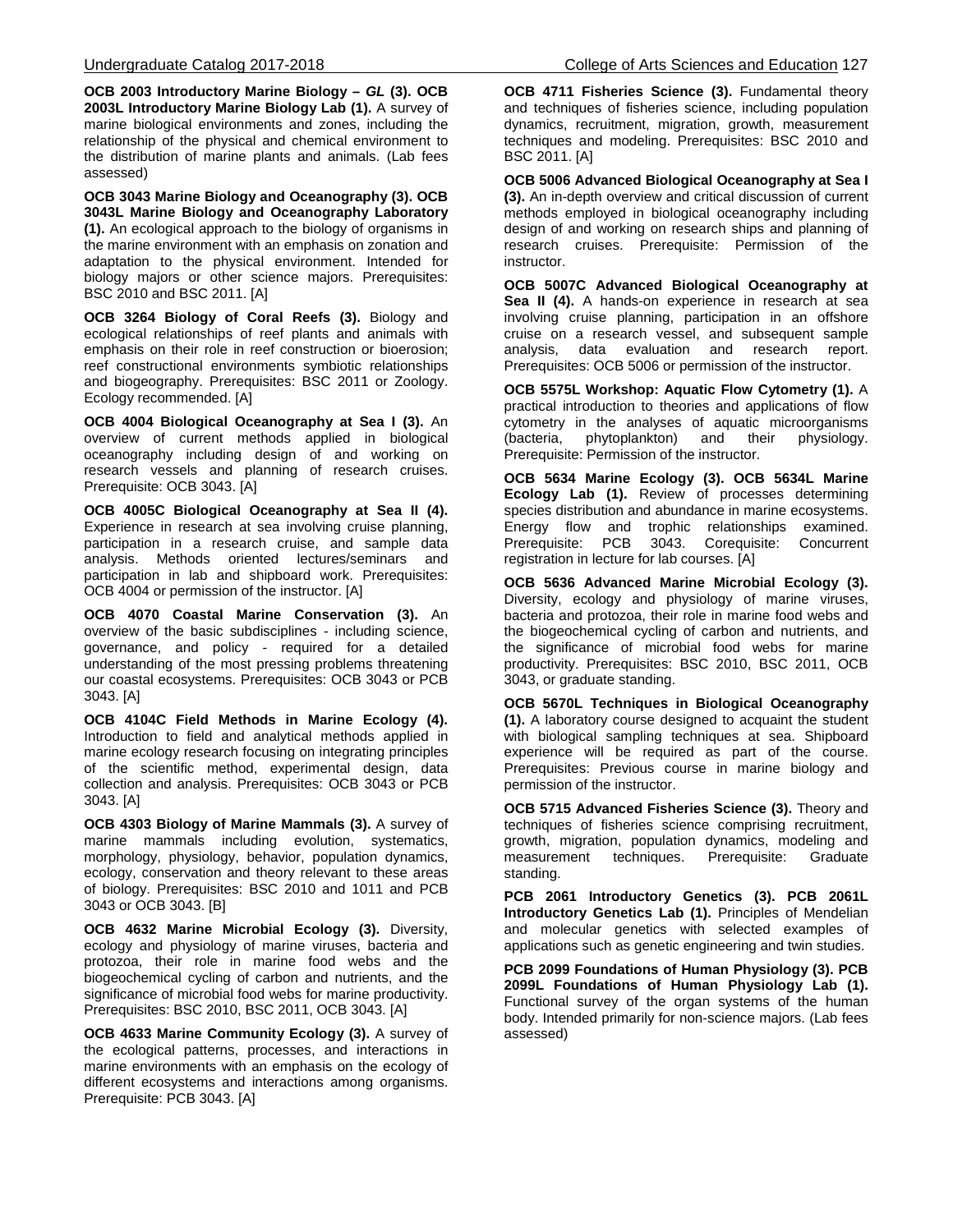**OCB 2003 Introductory Marine Biology –** *GL* **(3). OCB 2003L Introductory Marine Biology Lab (1).** A survey of marine biological environments and zones, including the relationship of the physical and chemical environment to the distribution of marine plants and animals. (Lab fees assessed)

**OCB 3043 Marine Biology and Oceanography (3). OCB 3043L Marine Biology and Oceanography Laboratory (1).** An ecological approach to the biology of organisms in the marine environment with an emphasis on zonation and adaptation to the physical environment. Intended for biology majors or other science majors. Prerequisites: BSC 2010 and BSC 2011. [A]

**OCB 3264 Biology of Coral Reefs (3).** Biology and ecological relationships of reef plants and animals with emphasis on their role in reef construction or bioerosion; reef constructional environments symbiotic relationships and biogeography. Prerequisites: BSC 2011 or Zoology. Ecology recommended. [A]

**OCB 4004 Biological Oceanography at Sea I (3).** An overview of current methods applied in biological oceanography including design of and working on research vessels and planning of research cruises. Prerequisite: OCB 3043. [A]

**OCB 4005C Biological Oceanography at Sea II (4).** Experience in research at sea involving cruise planning, participation in a research cruise, and sample data analysis. Methods oriented lectures/seminars and participation in lab and shipboard work. Prerequisites: OCB 4004 or permission of the instructor. [A]

**OCB 4070 Coastal Marine Conservation (3).** An overview of the basic subdisciplines - including science, governance, and policy - required for a detailed understanding of the most pressing problems threatening our coastal ecosystems. Prerequisites: OCB 3043 or PCB 3043. [A]

**OCB 4104C Field Methods in Marine Ecology (4).** Introduction to field and analytical methods applied in marine ecology research focusing on integrating principles of the scientific method, experimental design, data collection and analysis. Prerequisites: OCB 3043 or PCB 3043. [A]

**OCB 4303 Biology of Marine Mammals (3).** A survey of marine mammals including evolution, systematics, morphology, physiology, behavior, population dynamics, ecology, conservation and theory relevant to these areas of biology. Prerequisites: BSC 2010 and 1011 and PCB 3043 or OCB 3043. [B]

**OCB 4632 Marine Microbial Ecology (3).** Diversity, ecology and physiology of marine viruses, bacteria and protozoa, their role in marine food webs and the biogeochemical cycling of carbon and nutrients, and the significance of microbial food webs for marine productivity. Prerequisites: BSC 2010, BSC 2011, OCB 3043. [A]

**OCB 4633 Marine Community Ecology (3).** A survey of the ecological patterns, processes, and interactions in marine environments with an emphasis on the ecology of different ecosystems and interactions among organisms. Prerequisite: PCB 3043. [A]

**OCB 4711 Fisheries Science (3).** Fundamental theory and techniques of fisheries science, including population dynamics, recruitment, migration, growth, measurement techniques and modeling. Prerequisites: BSC 2010 and BSC 2011. [A]

**OCB 5006 Advanced Biological Oceanography at Sea I (3).** An in-depth overview and critical discussion of current methods employed in biological oceanography including design of and working on research ships and planning of research cruises. Prerequisite: Permission of the instructor.

**OCB 5007C Advanced Biological Oceanography at Sea II (4).** A hands-on experience in research at sea involving cruise planning, participation in an offshore cruise on a research vessel, and subsequent sample analysis, data evaluation and research report. Prerequisites: OCB 5006 or permission of the instructor.

**OCB 5575L Workshop: Aquatic Flow Cytometry (1).** A practical introduction to theories and applications of flow cytometry in the analyses of aquatic microorganisms<br>(bacteria, phytoplankton) and their physiology. (bacteria, phytoplankton) and their physiology. Prerequisite: Permission of the instructor.

**OCB 5634 Marine Ecology (3). OCB 5634L Marine Ecology Lab (1).** Review of processes determining species distribution and abundance in marine ecosystems. Energy flow and trophic relationships examined. Prerequisite: PCB 3043. Corequisite: Concurrent registration in lecture for lab courses. [A]

**OCB 5636 Advanced Marine Microbial Ecology (3).**  Diversity, ecology and physiology of marine viruses, bacteria and protozoa, their role in marine food webs and the biogeochemical cycling of carbon and nutrients, and the significance of microbial food webs for marine productivity. Prerequisites: BSC 2010, BSC 2011, OCB 3043, or graduate standing.

**OCB 5670L Techniques in Biological Oceanography (1).** A laboratory course designed to acquaint the student with biological sampling techniques at sea. Shipboard experience will be required as part of the course. Prerequisites: Previous course in marine biology and permission of the instructor.

**OCB 5715 Advanced Fisheries Science (3).** Theory and techniques of fisheries science comprising recruitment, growth, migration, population dynamics, modeling and measurement techniques. Prerequisite: Graduate standing.

**PCB 2061 Introductory Genetics (3). PCB 2061L Introductory Genetics Lab (1).** Principles of Mendelian and molecular genetics with selected examples of applications such as genetic engineering and twin studies.

**PCB 2099 Foundations of Human Physiology (3). PCB 2099L Foundations of Human Physiology Lab (1).**  Functional survey of the organ systems of the human body. Intended primarily for non-science majors. (Lab fees assessed)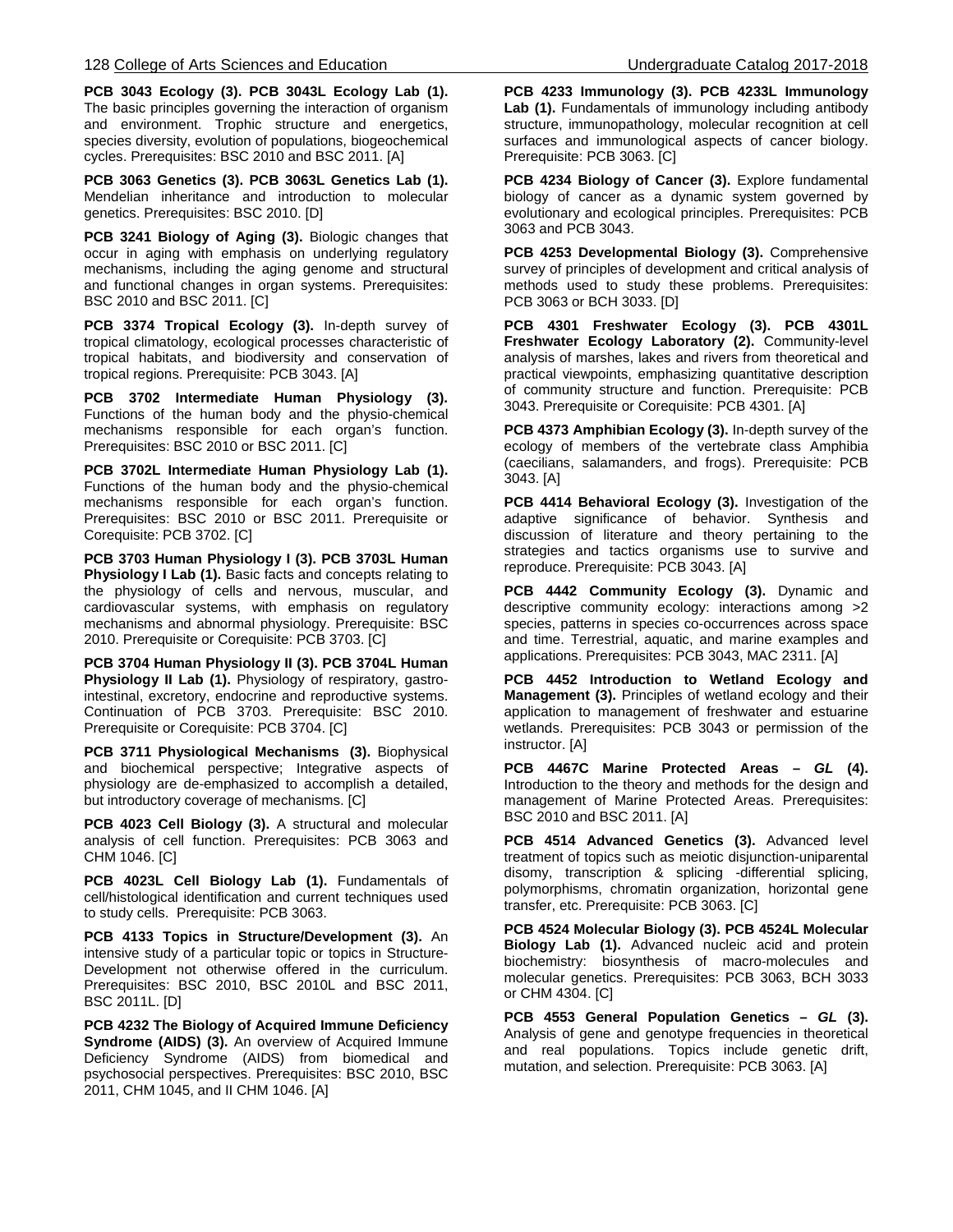**PCB 3043 Ecology (3). PCB 3043L Ecology Lab (1).** The basic principles governing the interaction of organism and environment. Trophic structure and energetics, species diversity, evolution of populations, biogeochemical cycles. Prerequisites: BSC 2010 and BSC 2011. [A]

**PCB 3063 Genetics (3). PCB 3063L Genetics Lab (1).**  Mendelian inheritance and introduction to molecular genetics. Prerequisites: BSC 2010. [D]

**PCB 3241 Biology of Aging (3).** Biologic changes that occur in aging with emphasis on underlying regulatory mechanisms, including the aging genome and structural and functional changes in organ systems. Prerequisites: BSC 2010 and BSC 2011. [C]

**PCB 3374 Tropical Ecology (3).** In-depth survey of tropical climatology, ecological processes characteristic of tropical habitats, and biodiversity and conservation of tropical regions. Prerequisite: PCB 3043. [A]

**PCB 3702 Intermediate Human Physiology (3).**  Functions of the human body and the physio-chemical mechanisms responsible for each organ's function. Prerequisites: BSC 2010 or BSC 2011. [C]

**PCB 3702L Intermediate Human Physiology Lab (1).**  Functions of the human body and the physio-chemical mechanisms responsible for each organ's function. Prerequisites: BSC 2010 or BSC 2011. Prerequisite or Corequisite: PCB 3702. [C]

**PCB 3703 Human Physiology I (3). PCB 3703L Human Physiology I Lab (1).** Basic facts and concepts relating to the physiology of cells and nervous, muscular, and cardiovascular systems, with emphasis on regulatory mechanisms and abnormal physiology. Prerequisite: BSC 2010. Prerequisite or Corequisite: PCB 3703. [C]

**PCB 3704 Human Physiology II (3). PCB 3704L Human Physiology II Lab (1).** Physiology of respiratory, gastrointestinal, excretory, endocrine and reproductive systems. Continuation of PCB 3703. Prerequisite: BSC 2010. Prerequisite or Corequisite: PCB 3704. [C]

**PCB 3711 Physiological Mechanisms (3).** Biophysical and biochemical perspective; Integrative aspects of physiology are de-emphasized to accomplish a detailed, but introductory coverage of mechanisms. [C]

**PCB 4023 Cell Biology (3).** A structural and molecular analysis of cell function. Prerequisites: PCB 3063 and CHM 1046. [C]

**PCB 4023L Cell Biology Lab (1).** Fundamentals of cell/histological identification and current techniques used to study cells. Prerequisite: PCB 3063.

**PCB 4133 Topics in Structure/Development (3).** An intensive study of a particular topic or topics in Structure-Development not otherwise offered in the curriculum. Prerequisites: BSC 2010, BSC 2010L and BSC 2011, BSC 2011L. [D]

**PCB 4232 The Biology of Acquired Immune Deficiency Syndrome (AIDS) (3).** An overview of Acquired Immune Deficiency Syndrome (AIDS) from biomedical and psychosocial perspectives. Prerequisites: BSC 2010, BSC 2011, CHM 1045, and II CHM 1046. [A]

**PCB 4233 Immunology (3). PCB 4233L Immunology Lab (1).** Fundamentals of immunology including antibody structure, immunopathology, molecular recognition at cell surfaces and immunological aspects of cancer biology. Prerequisite: PCB 3063. [C]

**PCB 4234 Biology of Cancer (3).** Explore fundamental biology of cancer as a dynamic system governed by evolutionary and ecological principles. Prerequisites: PCB 3063 and PCB 3043.

**PCB 4253 Developmental Biology (3).** Comprehensive survey of principles of development and critical analysis of methods used to study these problems. Prerequisites: PCB 3063 or BCH 3033. [D]

**PCB 4301 Freshwater Ecology (3). PCB 4301L Freshwater Ecology Laboratory (2).** Community-level analysis of marshes, lakes and rivers from theoretical and practical viewpoints, emphasizing quantitative description of community structure and function. Prerequisite: PCB 3043. Prerequisite or Corequisite: PCB 4301. [A]

**PCB 4373 Amphibian Ecology (3).** In-depth survey of the ecology of members of the vertebrate class Amphibia (caecilians, salamanders, and frogs). Prerequisite: PCB 3043. [A]

**PCB 4414 Behavioral Ecology (3).** Investigation of the adaptive significance of behavior. Synthesis and discussion of literature and theory pertaining to the strategies and tactics organisms use to survive and reproduce. Prerequisite: PCB 3043. [A]

**PCB 4442 Community Ecology (3).** Dynamic and descriptive community ecology: interactions among >2 species, patterns in species co-occurrences across space and time. Terrestrial, aquatic, and marine examples and applications. Prerequisites: PCB 3043, MAC 2311. [A]

**PCB 4452 Introduction to Wetland Ecology and Management (3).** Principles of wetland ecology and their application to management of freshwater and estuarine wetlands. Prerequisites: PCB 3043 or permission of the instructor. [A]

**PCB 4467C Marine Protected Areas –** *GL* **(4).** Introduction to the theory and methods for the design and management of Marine Protected Areas. Prerequisites: BSC 2010 and BSC 2011. [A]

**PCB 4514 Advanced Genetics (3).** Advanced level treatment of topics such as meiotic disjunction-uniparental disomy, transcription & splicing -differential splicing, polymorphisms, chromatin organization, horizontal gene transfer, etc. Prerequisite: PCB 3063. [C]

**PCB 4524 Molecular Biology (3). PCB 4524L Molecular Biology Lab (1).** Advanced nucleic acid and protein biochemistry: biosynthesis of macro-molecules and molecular genetics. Prerequisites: PCB 3063, BCH 3033 or CHM 4304. [C]

**PCB 4553 General Population Genetics –** *GL* **(3).** Analysis of gene and genotype frequencies in theoretical and real populations. Topics include genetic drift, mutation, and selection. Prerequisite: PCB 3063. [A]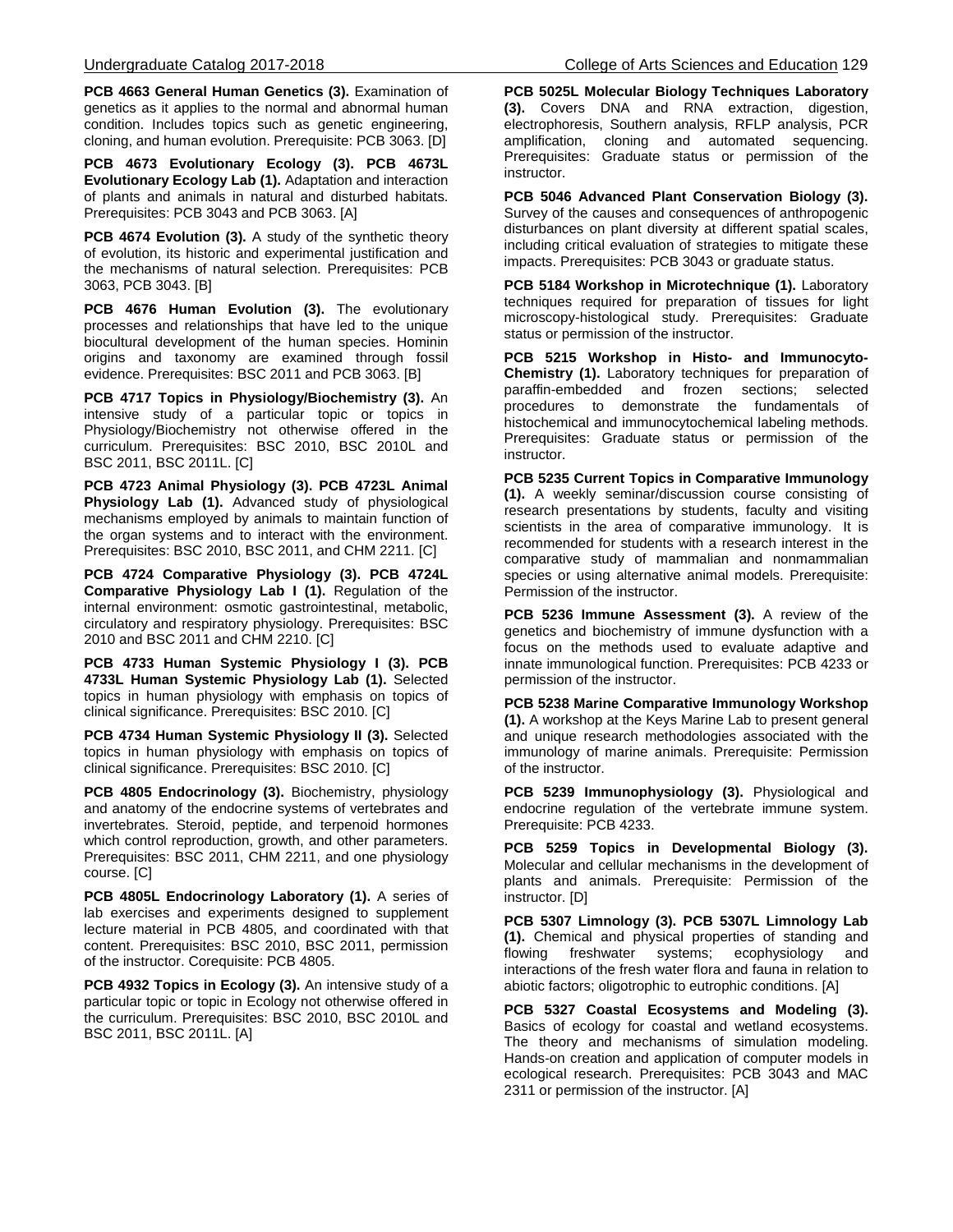**PCB 4663 General Human Genetics (3).** Examination of genetics as it applies to the normal and abnormal human condition. Includes topics such as genetic engineering, cloning, and human evolution. Prerequisite: PCB 3063. [D]

**PCB 4673 Evolutionary Ecology (3). PCB 4673L Evolutionary Ecology Lab (1).** Adaptation and interaction of plants and animals in natural and disturbed habitats. Prerequisites: PCB 3043 and PCB 3063. [A]

**PCB 4674 Evolution (3).** A study of the synthetic theory of evolution, its historic and experimental justification and the mechanisms of natural selection. Prerequisites: PCB 3063, PCB 3043. [B]

**PCB 4676 Human Evolution (3).** The evolutionary processes and relationships that have led to the unique biocultural development of the human species. Hominin origins and taxonomy are examined through fossil evidence. Prerequisites: BSC 2011 and PCB 3063. [B]

**PCB 4717 Topics in Physiology/Biochemistry (3).** An intensive study of a particular topic or topics in Physiology/Biochemistry not otherwise offered in the curriculum. Prerequisites: BSC 2010, BSC 2010L and BSC 2011, BSC 2011L. [C]

**PCB 4723 Animal Physiology (3). PCB 4723L Animal Physiology Lab (1).** Advanced study of physiological mechanisms employed by animals to maintain function of the organ systems and to interact with the environment. Prerequisites: BSC 2010, BSC 2011, and CHM 2211. [C]

**PCB 4724 Comparative Physiology (3). PCB 4724L Comparative Physiology Lab I (1).** Regulation of the internal environment: osmotic gastrointestinal, metabolic, circulatory and respiratory physiology. Prerequisites: BSC 2010 and BSC 2011 and CHM 2210. [C]

**PCB 4733 Human Systemic Physiology I (3). PCB 4733L Human Systemic Physiology Lab (1).** Selected topics in human physiology with emphasis on topics of clinical significance. Prerequisites: BSC 2010. [C]

**PCB 4734 Human Systemic Physiology II (3).** Selected topics in human physiology with emphasis on topics of clinical significance. Prerequisites: BSC 2010. [C]

**PCB 4805 Endocrinology (3).** Biochemistry, physiology and anatomy of the endocrine systems of vertebrates and invertebrates. Steroid, peptide, and terpenoid hormones which control reproduction, growth, and other parameters. Prerequisites: BSC 2011, CHM 2211, and one physiology course. [C]

**PCB 4805L Endocrinology Laboratory (1).** A series of lab exercises and experiments designed to supplement lecture material in PCB 4805, and coordinated with that content. Prerequisites: BSC 2010, BSC 2011, permission of the instructor. Corequisite: PCB 4805.

**PCB 4932 Topics in Ecology (3).** An intensive study of a particular topic or topic in Ecology not otherwise offered in the curriculum. Prerequisites: BSC 2010, BSC 2010L and BSC 2011, BSC 2011L. [A]

**PCB 5025L Molecular Biology Techniques Laboratory (3).** Covers DNA and RNA extraction, digestion, electrophoresis, Southern analysis, RFLP analysis, PCR amplification, cloning and automated sequencing. Prerequisites: Graduate status or permission of the instructor.

**PCB 5046 Advanced Plant Conservation Biology (3).** Survey of the causes and consequences of anthropogenic disturbances on plant diversity at different spatial scales, including critical evaluation of strategies to mitigate these impacts. Prerequisites: PCB 3043 or graduate status.

**PCB 5184 Workshop in Microtechnique (1).** Laboratory techniques required for preparation of tissues for light microscopy-histological study. Prerequisites: Graduate status or permission of the instructor.

**PCB 5215 Workshop in Histo- and Immunocyto-Chemistry (1).** Laboratory techniques for preparation of paraffin-embedded and frozen sections; selected procedures to demonstrate the fundamentals of histochemical and immunocytochemical labeling methods. Prerequisites: Graduate status or permission of the instructor.

**PCB 5235 Current Topics in Comparative Immunology (1).** A weekly seminar/discussion course consisting of research presentations by students, faculty and visiting scientists in the area of comparative immunology. It is recommended for students with a research interest in the comparative study of mammalian and nonmammalian species or using alternative animal models. Prerequisite: Permission of the instructor.

**PCB 5236 Immune Assessment (3).** A review of the genetics and biochemistry of immune dysfunction with a focus on the methods used to evaluate adaptive and innate immunological function. Prerequisites: PCB 4233 or permission of the instructor.

**PCB 5238 Marine Comparative Immunology Workshop (1).** A workshop at the Keys Marine Lab to present general and unique research methodologies associated with the immunology of marine animals. Prerequisite: Permission of the instructor.

**PCB 5239 Immunophysiology (3).** Physiological and endocrine regulation of the vertebrate immune system. Prerequisite: PCB 4233.

**PCB 5259 Topics in Developmental Biology (3).** Molecular and cellular mechanisms in the development of plants and animals. Prerequisite: Permission of the instructor. [D]

**PCB 5307 Limnology (3). PCB 5307L Limnology Lab (1).** Chemical and physical properties of standing and flowing freshwater systems; ecophysiology and interactions of the fresh water flora and fauna in relation to abiotic factors; oligotrophic to eutrophic conditions. [A]

**PCB 5327 Coastal Ecosystems and Modeling (3).** Basics of ecology for coastal and wetland ecosystems. The theory and mechanisms of simulation modeling. Hands-on creation and application of computer models in ecological research. Prerequisites: PCB 3043 and MAC 2311 or permission of the instructor. [A]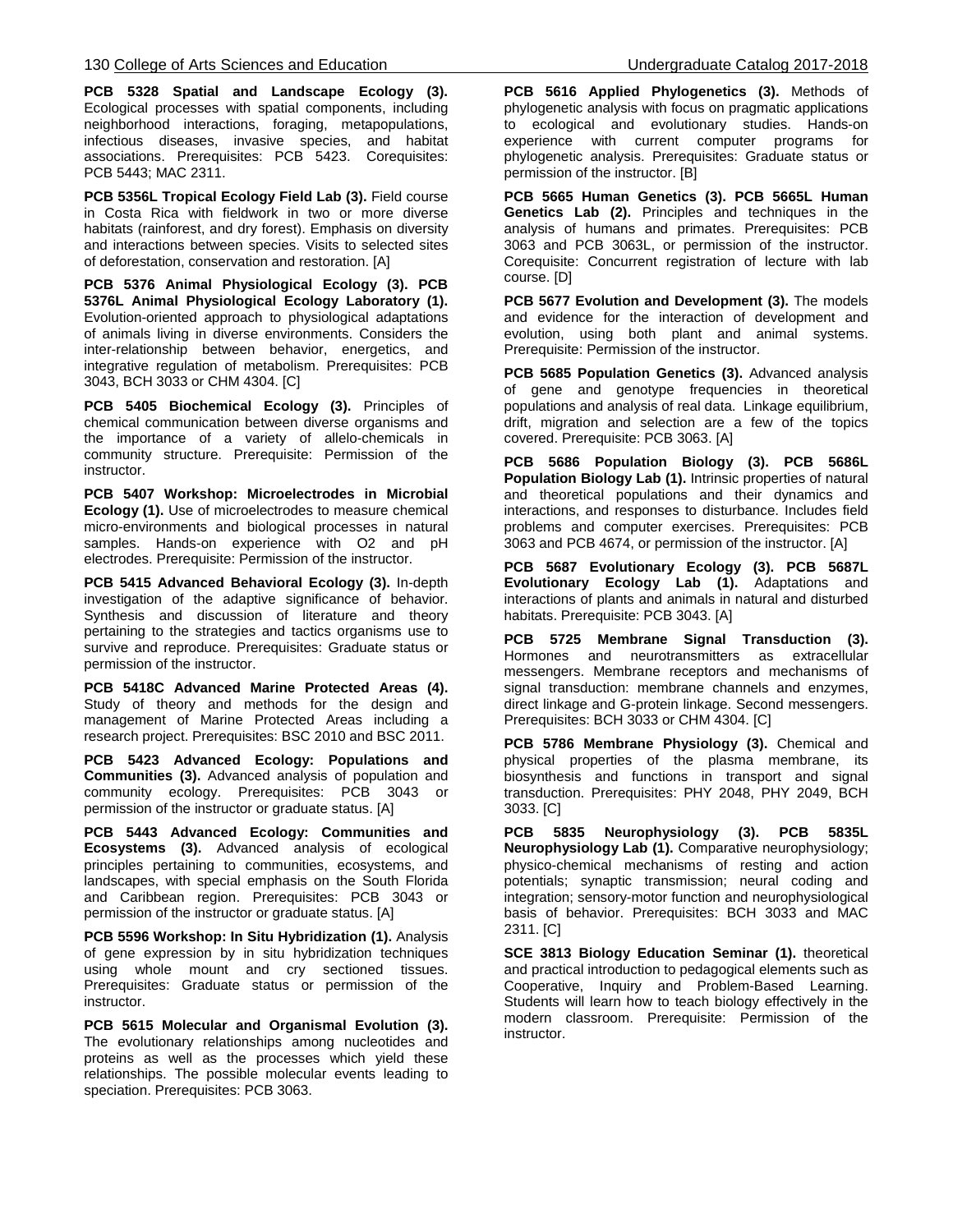**PCB 5328 Spatial and Landscape Ecology (3).**  Ecological processes with spatial components, including neighborhood interactions, foraging, metapopulations, infectious diseases, invasive species, and habitat associations. Prerequisites: PCB 5423. Corequisites: PCB 5443; MAC 2311.

**PCB 5356L Tropical Ecology Field Lab (3).** Field course in Costa Rica with fieldwork in two or more diverse habitats (rainforest, and dry forest). Emphasis on diversity and interactions between species. Visits to selected sites of deforestation, conservation and restoration. [A]

**PCB 5376 Animal Physiological Ecology (3). PCB 5376L Animal Physiological Ecology Laboratory (1).** Evolution-oriented approach to physiological adaptations of animals living in diverse environments. Considers the inter-relationship between behavior, energetics, and integrative regulation of metabolism. Prerequisites: PCB 3043, BCH 3033 or CHM 4304. [C]

**PCB 5405 Biochemical Ecology (3).** Principles of chemical communication between diverse organisms and the importance of a variety of allelo-chemicals in community structure. Prerequisite: Permission of the instructor.

**PCB 5407 Workshop: Microelectrodes in Microbial Ecology (1).** Use of microelectrodes to measure chemical micro-environments and biological processes in natural samples. Hands-on experience with O2 and pH electrodes. Prerequisite: Permission of the instructor.

**PCB 5415 Advanced Behavioral Ecology (3).** In-depth investigation of the adaptive significance of behavior. Synthesis and discussion of literature and theory pertaining to the strategies and tactics organisms use to survive and reproduce. Prerequisites: Graduate status or permission of the instructor.

**PCB 5418C Advanced Marine Protected Areas (4).** Study of theory and methods for the design and management of Marine Protected Areas including a research project. Prerequisites: BSC 2010 and BSC 2011.

**PCB 5423 Advanced Ecology: Populations and Communities (3).** Advanced analysis of population and community ecology. Prerequisites: PCB 3043 or permission of the instructor or graduate status. [A]

**PCB 5443 Advanced Ecology: Communities and Ecosystems (3).** Advanced analysis of ecological principles pertaining to communities, ecosystems, and landscapes, with special emphasis on the South Florida and Caribbean region. Prerequisites: PCB 3043 or permission of the instructor or graduate status. [A]

**PCB 5596 Workshop: In Situ Hybridization (1).** Analysis of gene expression by in situ hybridization techniques using whole mount and cry sectioned tissues. Prerequisites: Graduate status or permission of the instructor.

**PCB 5615 Molecular and Organismal Evolution (3).** The evolutionary relationships among nucleotides and proteins as well as the processes which yield these relationships. The possible molecular events leading to speciation. Prerequisites: PCB 3063.

**PCB 5616 Applied Phylogenetics (3).** Methods of phylogenetic analysis with focus on pragmatic applications to ecological and evolutionary studies. Hands-on experience with current computer programs for phylogenetic analysis. Prerequisites: Graduate status or permission of the instructor. [B]

**PCB 5665 Human Genetics (3). PCB 5665L Human Genetics Lab (2).** Principles and techniques in the analysis of humans and primates. Prerequisites: PCB 3063 and PCB 3063L, or permission of the instructor. Corequisite: Concurrent registration of lecture with lab course. [D]

**PCB 5677 Evolution and Development (3).** The models and evidence for the interaction of development and evolution, using both plant and animal systems. Prerequisite: Permission of the instructor.

**PCB 5685 Population Genetics (3).** Advanced analysis of gene and genotype frequencies in theoretical populations and analysis of real data. Linkage equilibrium, drift, migration and selection are a few of the topics covered. Prerequisite: PCB 3063. [A]

**PCB 5686 Population Biology (3). PCB 5686L Population Biology Lab (1).** Intrinsic properties of natural and theoretical populations and their dynamics and interactions, and responses to disturbance. Includes field problems and computer exercises. Prerequisites: PCB 3063 and PCB 4674, or permission of the instructor. [A]

**PCB 5687 Evolutionary Ecology (3). PCB 5687L Evolutionary Ecology Lab (1).** Adaptations and interactions of plants and animals in natural and disturbed habitats. Prerequisite: PCB 3043. [A]

**PCB 5725 Membrane Signal Transduction (3).** Hormones and neurotransmitters as extracellular messengers. Membrane receptors and mechanisms of signal transduction: membrane channels and enzymes, direct linkage and G-protein linkage. Second messengers. Prerequisites: BCH 3033 or CHM 4304. [C]

**PCB 5786 Membrane Physiology (3).** Chemical and physical properties of the plasma membrane, its biosynthesis and functions in transport and signal transduction. Prerequisites: PHY 2048, PHY 2049, BCH 3033. [C]

**PCB 5835 Neurophysiology (3). PCB 5835L Neurophysiology Lab (1).** Comparative neurophysiology; physico-chemical mechanisms of resting and action potentials; synaptic transmission; neural coding and integration; sensory-motor function and neurophysiological basis of behavior. Prerequisites: BCH 3033 and MAC 2311. [C]

**SCE 3813 Biology Education Seminar (1).** theoretical and practical introduction to pedagogical elements such as Cooperative, Inquiry and Problem-Based Learning. Students will learn how to teach biology effectively in the modern classroom. Prerequisite: Permission of the instructor.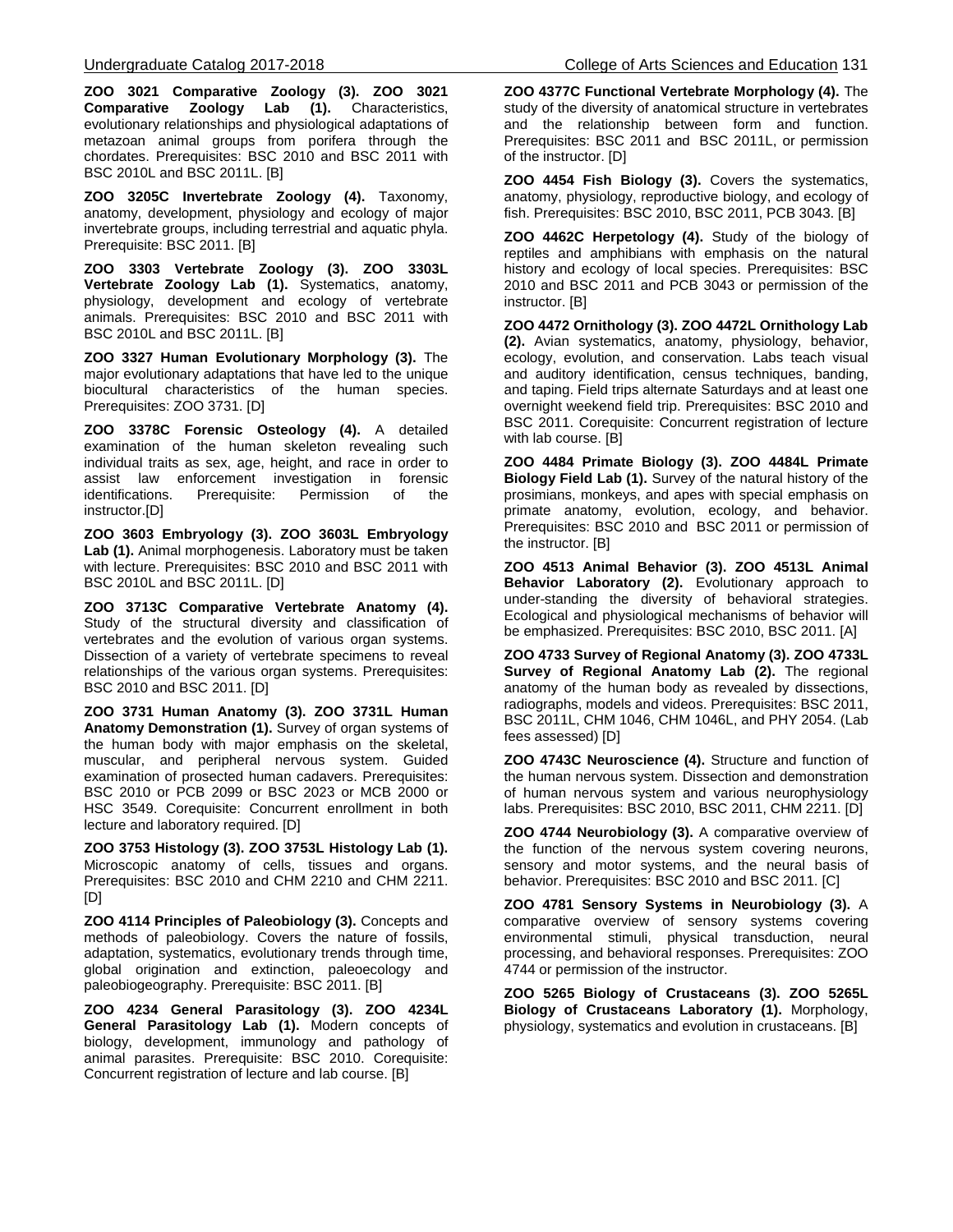**ZOO 3021 Comparative Zoology (3). ZOO 3021 Comparative Zoology Lab (1).** Characteristics, evolutionary relationships and physiological adaptations of metazoan animal groups from porifera through the chordates. Prerequisites: BSC 2010 and BSC 2011 with BSC 2010L and BSC 2011L. [B]

**ZOO 3205C Invertebrate Zoology (4).** Taxonomy, anatomy, development, physiology and ecology of major invertebrate groups, including terrestrial and aquatic phyla. Prerequisite: BSC 2011. [B]

**ZOO 3303 Vertebrate Zoology (3). ZOO 3303L Vertebrate Zoology Lab (1).** Systematics, anatomy, physiology, development and ecology of vertebrate animals. Prerequisites: BSC 2010 and BSC 2011 with BSC 2010L and BSC 2011L. [B]

**ZOO 3327 Human Evolutionary Morphology (3).** The major evolutionary adaptations that have led to the unique biocultural characteristics of the human species. Prerequisites: ZOO 3731. [D]

**ZOO 3378C Forensic Osteology (4).** A detailed examination of the human skeleton revealing such individual traits as sex, age, height, and race in order to assist law enforcement investigation in forensic<br>identifications. Prerequisite: Permission of the identifications. instructor.[D]

**ZOO 3603 Embryology (3). ZOO 3603L Embryology Lab (1).** Animal morphogenesis. Laboratory must be taken with lecture. Prerequisites: BSC 2010 and BSC 2011 with BSC 2010L and BSC 2011L. [D]

**ZOO 3713C Comparative Vertebrate Anatomy (4).**  Study of the structural diversity and classification of vertebrates and the evolution of various organ systems. Dissection of a variety of vertebrate specimens to reveal relationships of the various organ systems. Prerequisites: BSC 2010 and BSC 2011. [D]

**ZOO 3731 Human Anatomy (3). ZOO 3731L Human Anatomy Demonstration (1).** Survey of organ systems of the human body with major emphasis on the skeletal, muscular, and peripheral nervous system. Guided examination of prosected human cadavers. Prerequisites: BSC 2010 or PCB 2099 or BSC 2023 or MCB 2000 or HSC 3549. Corequisite: Concurrent enrollment in both lecture and laboratory required. [D]

**ZOO 3753 Histology (3). ZOO 3753L Histology Lab (1).**  Microscopic anatomy of cells, tissues and organs. Prerequisites: BSC 2010 and CHM 2210 and CHM 2211. [D]

**ZOO 4114 Principles of Paleobiology (3).** Concepts and methods of paleobiology. Covers the nature of fossils, adaptation, systematics, evolutionary trends through time, global origination and extinction, paleoecology and paleobiogeography. Prerequisite: BSC 2011. [B]

**ZOO 4234 General Parasitology (3). ZOO 4234L General Parasitology Lab (1).** Modern concepts of biology, development, immunology and pathology of animal parasites. Prerequisite: BSC 2010. Corequisite: Concurrent registration of lecture and lab course. [B]

**ZOO 4377C Functional Vertebrate Morphology (4).** The study of the diversity of anatomical structure in vertebrates and the relationship between form and function. Prerequisites: BSC 2011 and BSC 2011L, or permission of the instructor. [D]

**ZOO 4454 Fish Biology (3).** Covers the systematics, anatomy, physiology, reproductive biology, and ecology of fish. Prerequisites: BSC 2010, BSC 2011, PCB 3043. [B]

**ZOO 4462C Herpetology (4).** Study of the biology of reptiles and amphibians with emphasis on the natural history and ecology of local species. Prerequisites: BSC 2010 and BSC 2011 and PCB 3043 or permission of the instructor. [B]

**ZOO 4472 Ornithology (3). ZOO 4472L Ornithology Lab (2).** Avian systematics, anatomy, physiology, behavior, ecology, evolution, and conservation. Labs teach visual and auditory identification, census techniques, banding, and taping. Field trips alternate Saturdays and at least one overnight weekend field trip. Prerequisites: BSC 2010 and BSC 2011. Corequisite: Concurrent registration of lecture with lab course. [B]

**ZOO 4484 Primate Biology (3). ZOO 4484L Primate Biology Field Lab (1).** Survey of the natural history of the prosimians, monkeys, and apes with special emphasis on primate anatomy, evolution, ecology, and behavior. Prerequisites: BSC 2010 and BSC 2011 or permission of the instructor. [B]

**ZOO 4513 Animal Behavior (3). ZOO 4513L Animal Behavior Laboratory (2).** Evolutionary approach to under-standing the diversity of behavioral strategies. Ecological and physiological mechanisms of behavior will be emphasized. Prerequisites: BSC 2010, BSC 2011. [A]

**ZOO 4733 Survey of Regional Anatomy (3). ZOO 4733L Survey of Regional Anatomy Lab (2).** The regional anatomy of the human body as revealed by dissections, radiographs, models and videos. Prerequisites: BSC 2011, BSC 2011L, CHM 1046, CHM 1046L, and PHY 2054. (Lab fees assessed) [D]

**ZOO 4743C Neuroscience (4).** Structure and function of the human nervous system. Dissection and demonstration of human nervous system and various neurophysiology labs. Prerequisites: BSC 2010, BSC 2011, CHM 2211. [D]

**ZOO 4744 Neurobiology (3).** A comparative overview of the function of the nervous system covering neurons, sensory and motor systems, and the neural basis of behavior. Prerequisites: BSC 2010 and BSC 2011. [C]

**ZOO 4781 Sensory Systems in Neurobiology (3).** A comparative overview of sensory systems covering environmental stimuli, physical transduction, neural processing, and behavioral responses. Prerequisites: ZOO 4744 or permission of the instructor.

**ZOO 5265 Biology of Crustaceans (3). ZOO 5265L Biology of Crustaceans Laboratory (1).** Morphology, physiology, systematics and evolution in crustaceans. [B]